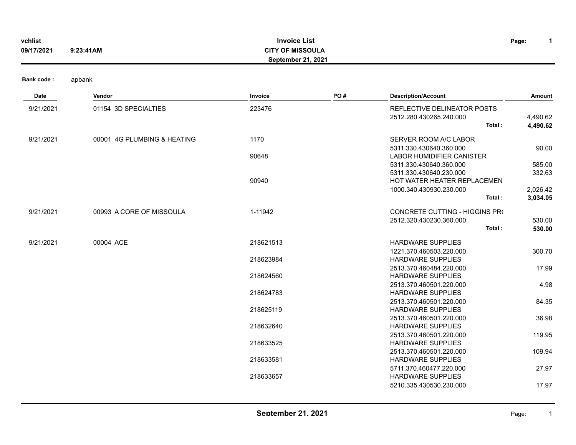| vchlist<br>09/17/2021 | <b>Invoice List</b><br><b>CITY OF MISSOULA</b><br>9:23:41AM<br>September 21, 2021 |                        |     |                                                                                   |                      |
|-----------------------|-----------------------------------------------------------------------------------|------------------------|-----|-----------------------------------------------------------------------------------|----------------------|
| <b>Bank code:</b>     | apbank                                                                            |                        |     |                                                                                   |                      |
| Date                  | Vendor                                                                            | Invoice                | PO# | <b>Description/Account</b>                                                        | <b>Amount</b>        |
| 9/21/2021             | 01154 3D SPECIALTIES                                                              | 223476                 |     | REFLECTIVE DELINEATOR POSTS<br>2512.280.430265.240.000<br>Total:                  | 4,490.62<br>4,490.62 |
| 9/21/2021             | 00001 4G PLUMBING & HEATING                                                       | 1170<br>90648          |     | SERVER ROOM A/C LABOR<br>5311.330.430640.360.000<br>LABOR HUMIDIFIER CANISTER     | 90.00                |
|                       |                                                                                   | 90940                  |     | 5311.330.430640.360.000<br>5311.330.430640.230.000<br>HOT WATER HEATER REPLACEMEN | 585.00<br>332.63     |
|                       |                                                                                   |                        |     | 1000.340.430930.230.000<br>Total:                                                 | 2,026.42<br>3,034.05 |
| 9/21/2021             | 00993 A CORE OF MISSOULA                                                          | 1-11942                |     | CONCRETE CUTTING - HIGGINS PRO<br>2512.320.430230.360.000<br>Total:               | 530.00<br>530.00     |
| 9/21/2021             | 00004 ACE                                                                         | 218621513<br>218623984 |     | <b>HARDWARE SUPPLIES</b><br>1221.370.460503.220.000<br><b>HARDWARE SUPPLIES</b>   | 300.70               |
|                       |                                                                                   | 218624560              |     | 2513.370.460484.220.000<br>HARDWARE SUPPLIES                                      | 17.99                |
|                       |                                                                                   | 218624783              |     | 2513.370.460501.220.000<br><b>HARDWARE SUPPLIES</b><br>2513.370.460501.220.000    | 4.98<br>84.35        |
|                       |                                                                                   | 218625119              |     | <b>HARDWARE SUPPLIES</b><br>2513.370.460501.220.000                               | 36.98                |
|                       |                                                                                   | 218632640<br>218633525 |     | HARDWARE SUPPLIES<br>2513.370.460501.220.000<br><b>HARDWARE SUPPLIES</b>          | 119.95               |
|                       |                                                                                   | 218633581              |     | 2513.370.460501.220.000<br><b>HARDWARE SUPPLIES</b>                               | 109.94               |
|                       |                                                                                   | 218633657              |     | 5711.370.460477.220.000<br>HARDWARE SUPPLIES<br>5210.335.430530.230.000           | 27.97<br>17.97       |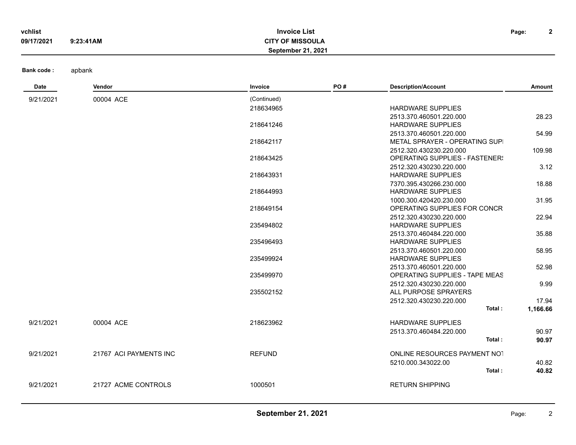| vchlist    |           | <b>Invoice List</b>       | Page: | $\ddot{\phantom{0}}$ |
|------------|-----------|---------------------------|-------|----------------------|
| 09/17/2021 | 9:23:41AM | <b>CITY OF MISSOULA</b>   |       |                      |
|            |           | <b>September 21, 2021</b> |       |                      |

| Date      | Vendor                 | Invoice       | PO# | <b>Description/Account</b>                      | Amount   |
|-----------|------------------------|---------------|-----|-------------------------------------------------|----------|
| 9/21/2021 | 00004 ACE              | (Continued)   |     |                                                 |          |
|           |                        | 218634965     |     | <b>HARDWARE SUPPLIES</b>                        |          |
|           |                        |               |     | 2513.370.460501.220.000                         | 28.23    |
|           |                        | 218641246     |     | <b>HARDWARE SUPPLIES</b>                        |          |
|           |                        |               |     | 2513.370.460501.220.000                         | 54.99    |
|           |                        | 218642117     |     | METAL SPRAYER - OPERATING SUPI                  |          |
|           |                        |               |     | 2512.320.430230.220.000                         | 109.98   |
|           |                        | 218643425     |     | <b>OPERATING SUPPLIES - FASTENER!</b>           |          |
|           |                        |               |     | 2512.320.430230.220.000                         | 3.12     |
|           |                        | 218643931     |     | <b>HARDWARE SUPPLIES</b>                        |          |
|           |                        |               |     | 7370.395.430266.230.000                         | 18.88    |
|           |                        | 218644993     |     | <b>HARDWARE SUPPLIES</b>                        |          |
|           |                        |               |     | 1000.300.420420.230.000                         | 31.95    |
|           |                        | 218649154     |     | OPERATING SUPPLIES FOR CONCR                    |          |
|           |                        |               |     | 2512.320.430230.220.000                         | 22.94    |
|           |                        | 235494802     |     | <b>HARDWARE SUPPLIES</b>                        |          |
|           |                        |               |     | 2513.370.460484.220.000                         | 35.88    |
|           |                        | 235496493     |     | <b>HARDWARE SUPPLIES</b>                        |          |
|           |                        |               |     | 2513.370.460501.220.000                         | 58.95    |
|           |                        | 235499924     |     | <b>HARDWARE SUPPLIES</b>                        |          |
|           |                        |               |     | 2513.370.460501.220.000                         | 52.98    |
|           |                        | 235499970     |     | OPERATING SUPPLIES - TAPE MEAS                  |          |
|           |                        | 235502152     |     | 2512.320.430230.220.000<br>ALL PURPOSE SPRAYERS | 9.99     |
|           |                        |               |     |                                                 |          |
|           |                        |               |     | 2512.320.430230.220.000<br>Total:               | 17.94    |
|           |                        |               |     |                                                 | 1,166.66 |
| 9/21/2021 | 00004 ACE              | 218623962     |     | <b>HARDWARE SUPPLIES</b>                        |          |
|           |                        |               |     | 2513.370.460484.220.000                         | 90.97    |
|           |                        |               |     | Total:                                          | 90.97    |
| 9/21/2021 | 21767 ACI PAYMENTS INC | <b>REFUND</b> |     | ONLINE RESOURCES PAYMENT NOT                    |          |
|           |                        |               |     | 5210.000.343022.00                              | 40.82    |
|           |                        |               |     | Total:                                          | 40.82    |
| 9/21/2021 | 21727 ACME CONTROLS    | 1000501       |     | <b>RETURN SHIPPING</b>                          |          |
|           |                        |               |     |                                                 |          |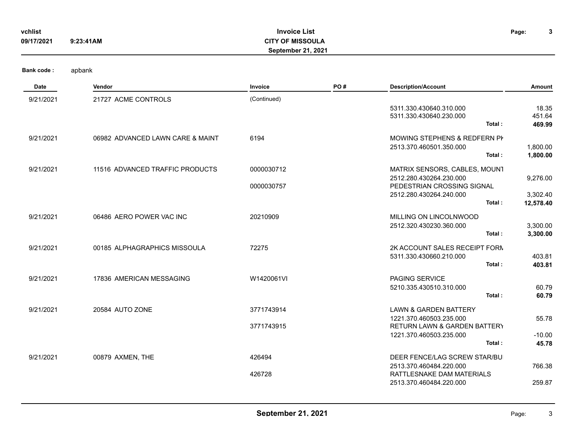| vchlist    |           | <b>Invoice List</b>       | Page: | $\bullet$ |
|------------|-----------|---------------------------|-------|-----------|
| 09/17/2021 | 9:23:41AM | <b>CITY OF MISSOULA</b>   |       |           |
|            |           | <b>September 21, 2021</b> |       |           |
|            |           |                           |       |           |
|            |           |                           |       |           |

| <b>Bank code:</b> | apbank |
|-------------------|--------|
|-------------------|--------|

| Date      | Vendor                           | Invoice     | PO# | <b>Description/Account</b>                                         | Amount               |
|-----------|----------------------------------|-------------|-----|--------------------------------------------------------------------|----------------------|
| 9/21/2021 | 21727 ACME CONTROLS              | (Continued) |     |                                                                    |                      |
|           |                                  |             |     | 5311.330.430640.310.000                                            | 18.35                |
|           |                                  |             |     | 5311.330.430640.230.000<br>Total:                                  | 451.64<br>469.99     |
|           |                                  |             |     |                                                                    |                      |
| 9/21/2021 | 06982 ADVANCED LAWN CARE & MAINT | 6194        |     | MOWING STEPHENS & REDFERN PI                                       |                      |
|           |                                  |             |     | 2513.370.460501.350.000<br>Total:                                  | 1,800.00<br>1,800.00 |
|           |                                  |             |     |                                                                    |                      |
| 9/21/2021 | 11516 ADVANCED TRAFFIC PRODUCTS  | 0000030712  |     | MATRIX SENSORS, CABLES, MOUNT<br>2512.280.430264.230.000           |                      |
|           |                                  | 0000030757  |     | PEDESTRIAN CROSSING SIGNAL                                         | 9,276.00             |
|           |                                  |             |     | 2512.280.430264.240.000                                            | 3,302.40             |
|           |                                  |             |     | Total:                                                             | 12,578.40            |
| 9/21/2021 | 06486 AERO POWER VAC INC         | 20210909    |     | MILLING ON LINCOLNWOOD                                             |                      |
|           |                                  |             |     | 2512.320.430230.360.000                                            | 3,300.00             |
|           |                                  |             |     | Total:                                                             | 3,300.00             |
| 9/21/2021 | 00185 ALPHAGRAPHICS MISSOULA     | 72275       |     | 2K ACCOUNT SALES RECEIPT FORM                                      |                      |
|           |                                  |             |     | 5311.330.430660.210.000                                            | 403.81               |
|           |                                  |             |     | Total:                                                             | 403.81               |
| 9/21/2021 | 17836 AMERICAN MESSAGING         | W1420061VI  |     | PAGING SERVICE                                                     |                      |
|           |                                  |             |     | 5210.335.430510.310.000                                            | 60.79                |
|           |                                  |             |     | Total:                                                             | 60.79                |
| 9/21/2021 | 20584 AUTO ZONE                  | 3771743914  |     | <b>LAWN &amp; GARDEN BATTERY</b>                                   |                      |
|           |                                  |             |     | 1221.370.460503.235.000                                            | 55.78                |
|           |                                  | 3771743915  |     | <b>RETURN LAWN &amp; GARDEN BATTERY</b><br>1221.370.460503.235.000 | $-10.00$             |
|           |                                  |             |     | Total:                                                             | 45.78                |
| 9/21/2021 | 00879 AXMEN, THE                 | 426494      |     | DEER FENCE/LAG SCREW STAR/BU                                       |                      |
|           |                                  |             |     | 2513.370.460484.220.000                                            | 766.38               |
|           |                                  | 426728      |     | RATTLESNAKE DAM MATERIALS                                          |                      |
|           |                                  |             |     | 2513.370.460484.220.000                                            | 259.87               |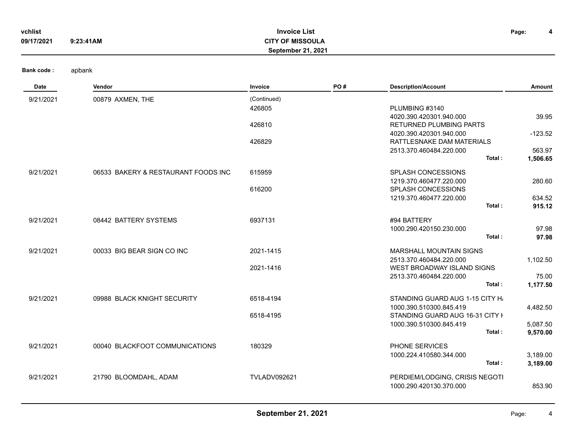| vchlist<br>09/17/2021 | <b>Invoice List</b><br>Page:<br><b>CITY OF MISSOULA</b><br>9:23:41AM<br>September 21, 2021 |                                 |     |                                                                                           |                                 |  |  |
|-----------------------|--------------------------------------------------------------------------------------------|---------------------------------|-----|-------------------------------------------------------------------------------------------|---------------------------------|--|--|
| <b>Bank code:</b>     | apbank                                                                                     |                                 |     |                                                                                           |                                 |  |  |
| Date                  | Vendor                                                                                     | Invoice                         | PO# | <b>Description/Account</b>                                                                | Amount                          |  |  |
| 9/21/2021             | 00879 AXMEN, THE                                                                           | (Continued)<br>426805<br>426810 |     | PLUMBING #3140<br>4020.390.420301.940.000<br><b>RETURNED PLUMBING PARTS</b>               | 39.95                           |  |  |
|                       |                                                                                            | 426829                          |     | 4020.390.420301.940.000<br>RATTLESNAKE DAM MATERIALS<br>2513.370.460484.220.000<br>Total: | $-123.52$<br>563.97<br>1,506.65 |  |  |
| 9/21/2021             | 06533 BAKERY & RESTAURANT FOODS INC                                                        | 615959                          |     | SPLASH CONCESSIONS<br>1219.370.460477.220.000                                             | 280.60                          |  |  |
|                       |                                                                                            | 616200                          |     | SPLASH CONCESSIONS<br>1219.370.460477.220.000<br>Total:                                   | 634.52<br>915.12                |  |  |
| 9/21/2021             | 08442 BATTERY SYSTEMS                                                                      | 6937131                         |     | #94 BATTERY<br>1000.290.420150.230.000<br>Total:                                          | 97.98<br>97.98                  |  |  |
| 9/21/2021             | 00033 BIG BEAR SIGN CO INC                                                                 | 2021-1415<br>2021-1416          |     | <b>MARSHALL MOUNTAIN SIGNS</b><br>2513.370.460484.220.000<br>WEST BROADWAY ISLAND SIGNS   | 1,102.50                        |  |  |
|                       |                                                                                            |                                 |     | 2513.370.460484.220.000<br>Total:                                                         | 75.00<br>1,177.50               |  |  |
| 9/21/2021             | 09988 BLACK KNIGHT SECURITY                                                                | 6518-4194                       |     | STANDING GUARD AUG 1-15 CITY H<br>1000.390.510300.845.419                                 | 4,482.50                        |  |  |
|                       |                                                                                            | 6518-4195                       |     | STANDING GUARD AUG 16-31 CITY I<br>1000.390.510300.845.419<br>Total:                      | 5,087.50<br>9,570.00            |  |  |
| 9/21/2021             | 00040 BLACKFOOT COMMUNICATIONS                                                             | 180329                          |     | PHONE SERVICES<br>1000.224.410580.344.000<br>Total:                                       | 3,189.00<br>3,189.00            |  |  |
| 9/21/2021             | 21790 BLOOMDAHL, ADAM                                                                      | <b>TVLADV092621</b>             |     | PERDIEM/LODGING, CRISIS NEGOTI<br>1000.290.420130.370.000                                 | 853.90                          |  |  |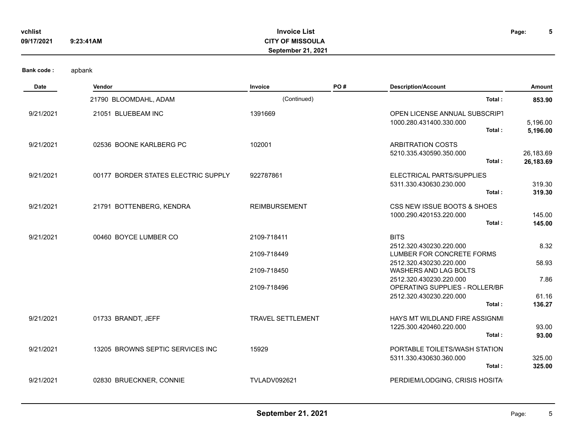| vchlist    |           | <b>Invoice List</b>     | Page: | u |
|------------|-----------|-------------------------|-------|---|
| 09/17/2021 | 9:23:41AM | <b>CITY OF MISSOULA</b> |       |   |
|            |           | September 21, 2021      |       |   |
|            |           |                         |       |   |

| Date      | Vendor                              | Invoice              | PO# | <b>Description/Account</b>                                          | Amount                 |
|-----------|-------------------------------------|----------------------|-----|---------------------------------------------------------------------|------------------------|
|           | 21790 BLOOMDAHL, ADAM               | (Continued)          |     | Total:                                                              | 853.90                 |
| 9/21/2021 | 21051 BLUEBEAM INC                  | 1391669              |     | OPEN LICENSE ANNUAL SUBSCRIPT<br>1000.280.431400.330.000<br>Total:  | 5,196.00<br>5,196.00   |
| 9/21/2021 | 02536 BOONE KARLBERG PC             | 102001               |     | <b>ARBITRATION COSTS</b><br>5210.335.430590.350.000<br>Total:       | 26,183.69<br>26,183.69 |
| 9/21/2021 | 00177 BORDER STATES ELECTRIC SUPPLY | 922787861            |     | ELECTRICAL PARTS/SUPPLIES<br>5311.330.430630.230.000<br>Total:      | 319.30<br>319.30       |
| 9/21/2021 | 21791 BOTTENBERG, KENDRA            | <b>REIMBURSEMENT</b> |     | CSS NEW ISSUE BOOTS & SHOES<br>1000.290.420153.220.000<br>Total:    | 145.00<br>145.00       |
| 9/21/2021 | 00460 BOYCE LUMBER CO               | 2109-718411          |     | <b>BITS</b>                                                         |                        |
|           |                                     | 2109-718449          |     | 2512.320.430230.220.000<br>LUMBER FOR CONCRETE FORMS                | 8.32                   |
|           |                                     | 2109-718450          |     | 2512.320.430230.220.000<br><b>WASHERS AND LAG BOLTS</b>             | 58.93                  |
|           |                                     | 2109-718496          |     | 2512.320.430230.220.000<br>OPERATING SUPPLIES - ROLLER/BF           | 7.86                   |
|           |                                     |                      |     | 2512.320.430230.220.000<br>Total:                                   | 61.16<br>136.27        |
| 9/21/2021 | 01733 BRANDT, JEFF                  | TRAVEL SETTLEMENT    |     | HAYS MT WILDLAND FIRE ASSIGNMI<br>1225.300.420460.220.000<br>Total: | 93.00<br>93.00         |
| 9/21/2021 | 13205 BROWNS SEPTIC SERVICES INC    | 15929                |     | PORTABLE TOILETS/WASH STATION<br>5311.330.430630.360.000<br>Total:  | 325.00<br>325.00       |
| 9/21/2021 | 02830 BRUECKNER, CONNIE             | <b>TVLADV092621</b>  |     | PERDIEM/LODGING, CRISIS HOSITA                                      |                        |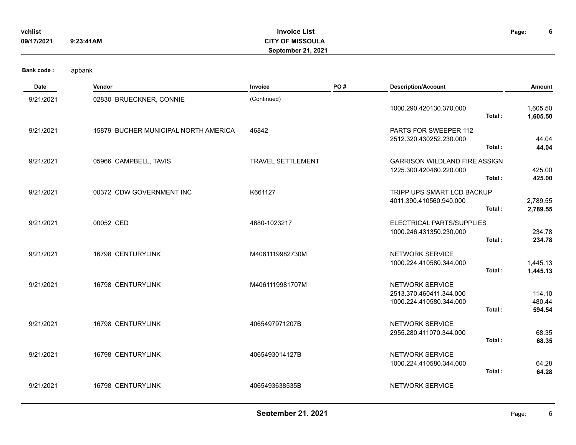| vchlist<br>09/17/2021 | <b>Invoice List</b><br><b>CITY OF MISSOULA</b><br>9:23:41AM<br>September 21, 2021 |                          |     |                                                                                 |                            |
|-----------------------|-----------------------------------------------------------------------------------|--------------------------|-----|---------------------------------------------------------------------------------|----------------------------|
| <b>Bank code:</b>     | apbank                                                                            |                          |     |                                                                                 |                            |
| Date                  | Vendor                                                                            | Invoice                  | PO# | <b>Description/Account</b>                                                      | Amount                     |
| 9/21/2021             | 02830 BRUECKNER, CONNIE                                                           | (Continued)              |     | 1000.290.420130.370.000<br>Total:                                               | 1,605.50<br>1,605.50       |
| 9/21/2021             | 15879 BUCHER MUNICIPAL NORTH AMERICA                                              | 46842                    |     | PARTS FOR SWEEPER 112<br>2512.320.430252.230.000<br>Total:                      | 44.04<br>44.04             |
| 9/21/2021             | 05966 CAMPBELL, TAVIS                                                             | <b>TRAVEL SETTLEMENT</b> |     | <b>GARRISON WILDLAND FIRE ASSIGN</b><br>1225.300.420460.220.000<br>Total:       | 425.00<br>425.00           |
| 9/21/2021             | 00372 CDW GOVERNMENT INC                                                          | K661127                  |     | TRIPP UPS SMART LCD BACKUP<br>4011.390.410560.940.000<br>Total:                 | 2,789.55<br>2,789.55       |
| 9/21/2021             | 00052 CED                                                                         | 4680-1023217             |     | ELECTRICAL PARTS/SUPPLIES<br>1000.246.431350.230.000<br>Total:                  | 234.78<br>234.78           |
| 9/21/2021             | 16798 CENTURYLINK                                                                 | M4061119982730M          |     | <b>NETWORK SERVICE</b><br>1000.224.410580.344.000<br>Total:                     | 1,445.13<br>1,445.13       |
| 9/21/2021             | 16798 CENTURYLINK                                                                 | M4061119981707M          |     | NETWORK SERVICE<br>2513.370.460411.344.000<br>1000.224.410580.344.000<br>Total: | 114.10<br>480.44<br>594.54 |
| 9/21/2021             | 16798 CENTURYLINK                                                                 | 4065497971207B           |     | NETWORK SERVICE<br>2955.280.411070.344.000<br>Total:                            | 68.35<br>68.35             |
| 9/21/2021             | 16798 CENTURYLINK                                                                 | 4065493014127B           |     | NETWORK SERVICE<br>1000.224.410580.344.000<br>Total:                            | 64.28<br>64.28             |
| 9/21/2021             | 16798 CENTURYLINK                                                                 | 4065493638535B           |     | NETWORK SERVICE                                                                 |                            |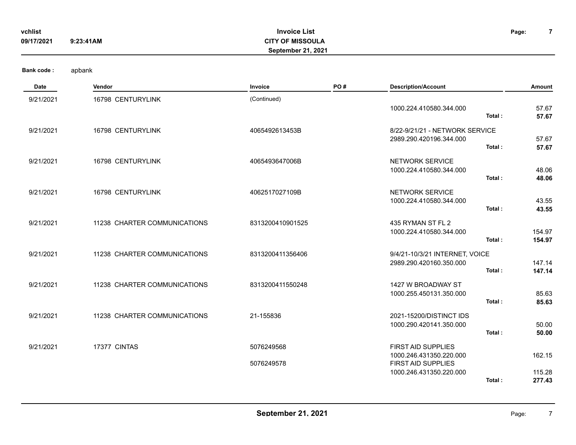| vchlist<br>09/17/2021 | <b>Invoice List</b><br>Page:<br><b>CITY OF MISSOULA</b><br>9:23:41AM<br>September 21, 2021 |                  |     |                                                    |                  |
|-----------------------|--------------------------------------------------------------------------------------------|------------------|-----|----------------------------------------------------|------------------|
| <b>Bank code:</b>     | apbank                                                                                     |                  |     |                                                    |                  |
| Date                  | Vendor                                                                                     | Invoice          | PO# | <b>Description/Account</b>                         | Amount           |
| 9/21/2021             | 16798 CENTURYLINK                                                                          | (Continued)      |     |                                                    |                  |
|                       |                                                                                            |                  |     | 1000.224.410580.344.000<br>Total:                  | 57.67<br>57.67   |
| 9/21/2021             | 16798 CENTURYLINK                                                                          | 4065492613453B   |     | 8/22-9/21/21 - NETWORK SERVICE                     |                  |
|                       |                                                                                            |                  |     | 2989.290.420196.344.000<br>Total:                  | 57.67<br>57.67   |
| 9/21/2021             | 16798 CENTURYLINK                                                                          | 4065493647006B   |     | NETWORK SERVICE                                    |                  |
|                       |                                                                                            |                  |     | 1000.224.410580.344.000<br>Total:                  | 48.06<br>48.06   |
| 9/21/2021             | 16798 CENTURYLINK                                                                          | 4062517027109B   |     | NETWORK SERVICE                                    |                  |
|                       |                                                                                            |                  |     | 1000.224.410580.344.000<br>Total:                  | 43.55<br>43.55   |
|                       |                                                                                            |                  |     |                                                    |                  |
| 9/21/2021             | 11238 CHARTER COMMUNICATIONS                                                               | 8313200410901525 |     | 435 RYMAN ST FL 2<br>1000.224.410580.344.000       | 154.97           |
|                       |                                                                                            |                  |     | Total:                                             | 154.97           |
| 9/21/2021             | 11238 CHARTER COMMUNICATIONS                                                               | 8313200411356406 |     | 9/4/21-10/3/21 INTERNET, VOICE                     |                  |
|                       |                                                                                            |                  |     | 2989.290.420160.350.000<br>Total:                  | 147.14<br>147.14 |
| 9/21/2021             | 11238 CHARTER COMMUNICATIONS                                                               | 8313200411550248 |     | 1427 W BROADWAY ST                                 |                  |
|                       |                                                                                            |                  |     | 1000.255.450131.350.000<br>Total:                  | 85.63<br>85.63   |
|                       | 11238 CHARTER COMMUNICATIONS                                                               |                  |     |                                                    |                  |
| 9/21/2021             |                                                                                            | 21-155836        |     | 2021-15200/DISTINCT IDS<br>1000.290.420141.350.000 | 50.00            |
|                       |                                                                                            |                  |     | Total:                                             | 50.00            |
| 9/21/2021             | 17377 CINTAS                                                                               | 5076249568       |     | FIRST AID SUPPLIES                                 |                  |
|                       |                                                                                            | 5076249578       |     | 1000.246.431350.220.000<br>FIRST AID SUPPLIES      | 162.15           |
|                       |                                                                                            |                  |     | 1000.246.431350.220.000                            | 115.28           |
|                       |                                                                                            |                  |     | Total:                                             | 277.43           |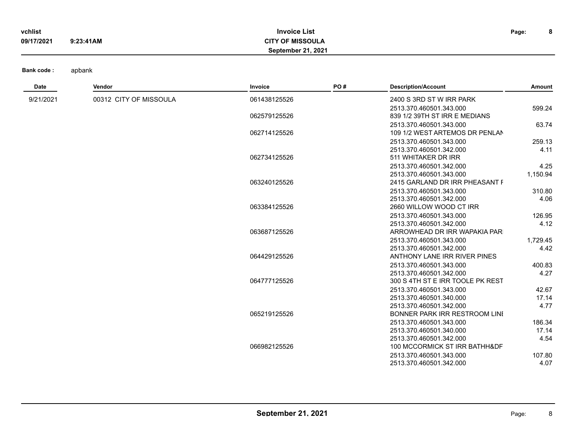| vchlist    |           | <b>Invoice List</b>     | Page: |  |
|------------|-----------|-------------------------|-------|--|
| 09/17/2021 | 9:23:41AM | <b>CITY OF MISSOULA</b> |       |  |
|            |           | September 21, 2021      |       |  |

| Date      | Vendor                 | Invoice      | PO# | <b>Description/Account</b>       | Amount   |
|-----------|------------------------|--------------|-----|----------------------------------|----------|
| 9/21/2021 | 00312 CITY OF MISSOULA | 061438125526 |     | 2400 S 3RD ST W IRR PARK         |          |
|           |                        |              |     | 2513.370.460501.343.000          | 599.24   |
|           |                        | 062579125526 |     | 839 1/2 39TH ST IRR E MEDIANS    |          |
|           |                        |              |     | 2513.370.460501.343.000          | 63.74    |
|           |                        | 062714125526 |     | 109 1/2 WEST ARTEMOS DR PENLAN   |          |
|           |                        |              |     | 2513.370.460501.343.000          | 259.13   |
|           |                        |              |     | 2513.370.460501.342.000          | 4.11     |
|           |                        | 062734125526 |     | 511 WHITAKER DR IRR              |          |
|           |                        |              |     | 2513.370.460501.342.000          | 4.25     |
|           |                        |              |     | 2513.370.460501.343.000          | 1,150.94 |
|           |                        | 063240125526 |     | 2415 GARLAND DR IRR PHEASANT F   |          |
|           |                        |              |     | 2513.370.460501.343.000          | 310.80   |
|           |                        |              |     | 2513.370.460501.342.000          | 4.06     |
|           |                        | 063384125526 |     | 2660 WILLOW WOOD CT IRR          |          |
|           |                        |              |     | 2513.370.460501.343.000          | 126.95   |
|           |                        |              |     | 2513.370.460501.342.000          | 4.12     |
|           |                        | 063687125526 |     | ARROWHEAD DR IRR WAPAKIA PAR     |          |
|           |                        |              |     | 2513.370.460501.343.000          | 1,729.45 |
|           |                        |              |     | 2513.370.460501.342.000          | 4.42     |
|           |                        | 064429125526 |     | ANTHONY LANE IRR RIVER PINES     |          |
|           |                        |              |     | 2513.370.460501.343.000          | 400.83   |
|           |                        |              |     | 2513.370.460501.342.000          | 4.27     |
|           |                        | 064777125526 |     | 300 S 4TH ST E IRR TOOLE PK REST |          |
|           |                        |              |     | 2513.370.460501.343.000          | 42.67    |
|           |                        |              |     | 2513.370.460501.340.000          | 17.14    |
|           |                        |              |     | 2513.370.460501.342.000          | 4.77     |
|           |                        | 065219125526 |     | BONNER PARK IRR RESTROOM LINI    |          |
|           |                        |              |     | 2513.370.460501.343.000          | 186.34   |
|           |                        |              |     | 2513.370.460501.340.000          | 17.14    |
|           |                        |              |     | 2513.370.460501.342.000          | 4.54     |
|           |                        | 066982125526 |     | 100 MCCORMICK ST IRR BATHH&DF    |          |
|           |                        |              |     | 2513.370.460501.343.000          | 107.80   |
|           |                        |              |     | 2513.370.460501.342.000          | 4.07     |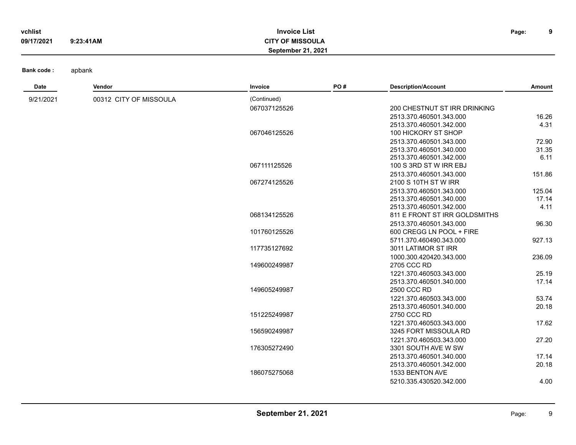| vchlist    |           | <b>Invoice List</b>     | Page: | $\mathbf{a}$ |
|------------|-----------|-------------------------|-------|--------------|
| 09/17/2021 | 9:23:41AM | <b>CITY OF MISSOULA</b> |       |              |
|            |           | September 21, 2021      |       |              |

| Date      | <b>Vendor</b>          | Invoice      | PO# | <b>Description/Account</b>    | Amount |
|-----------|------------------------|--------------|-----|-------------------------------|--------|
| 9/21/2021 | 00312 CITY OF MISSOULA | (Continued)  |     |                               |        |
|           |                        | 067037125526 |     | 200 CHESTNUT ST IRR DRINKING  |        |
|           |                        |              |     | 2513.370.460501.343.000       | 16.26  |
|           |                        |              |     | 2513.370.460501.342.000       | 4.31   |
|           |                        | 067046125526 |     | 100 HICKORY ST SHOP           |        |
|           |                        |              |     | 2513.370.460501.343.000       | 72.90  |
|           |                        |              |     | 2513.370.460501.340.000       | 31.35  |
|           |                        |              |     | 2513.370.460501.342.000       | 6.11   |
|           |                        | 067111125526 |     | 100 S 3RD ST W IRR EBJ        |        |
|           |                        |              |     | 2513.370.460501.343.000       | 151.86 |
|           |                        | 067274125526 |     | 2100 S 10TH ST W IRR          |        |
|           |                        |              |     | 2513.370.460501.343.000       | 125.04 |
|           |                        |              |     | 2513.370.460501.340.000       | 17.14  |
|           |                        |              |     | 2513.370.460501.342.000       | 4.11   |
|           |                        | 068134125526 |     | 811 E FRONT ST IRR GOLDSMITHS |        |
|           |                        |              |     | 2513.370.460501.343.000       | 96.30  |
|           |                        | 101760125526 |     | 600 CREGG LN POOL + FIRE      |        |
|           |                        |              |     | 5711.370.460490.343.000       | 927.13 |
|           |                        | 117735127692 |     | 3011 LATIMOR ST IRR           |        |
|           |                        |              |     | 1000.300.420420.343.000       | 236.09 |
|           |                        | 149600249987 |     | 2705 CCC RD                   |        |
|           |                        |              |     | 1221.370.460503.343.000       | 25.19  |
|           |                        |              |     | 2513.370.460501.340.000       | 17.14  |
|           |                        | 149605249987 |     | 2500 CCC RD                   |        |
|           |                        |              |     | 1221.370.460503.343.000       | 53.74  |
|           |                        |              |     | 2513.370.460501.340.000       | 20.18  |
|           |                        | 151225249987 |     | 2750 CCC RD                   |        |
|           |                        |              |     | 1221.370.460503.343.000       | 17.62  |
|           |                        | 156590249987 |     | 3245 FORT MISSOULA RD         |        |
|           |                        |              |     | 1221.370.460503.343.000       | 27.20  |
|           |                        | 176305272490 |     | 3301 SOUTH AVE W SW           |        |
|           |                        |              |     | 2513.370.460501.340.000       | 17.14  |
|           |                        |              |     | 2513.370.460501.342.000       | 20.18  |
|           |                        | 186075275068 |     | 1533 BENTON AVE               |        |
|           |                        |              |     | 5210.335.430520.342.000       | 4.00   |
|           |                        |              |     |                               |        |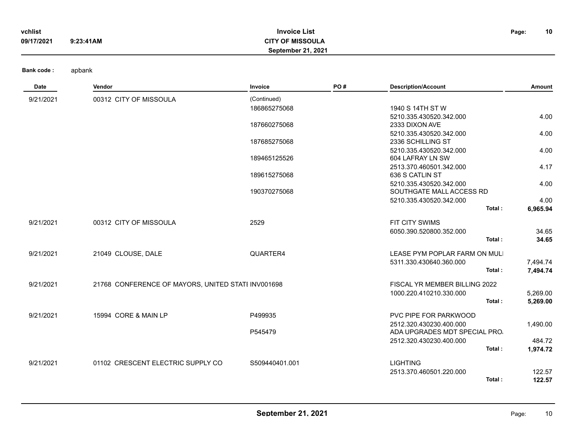| vchlist    |           | <b>Invoice List</b>       | Page: | 10 |
|------------|-----------|---------------------------|-------|----|
| 09/17/2021 | 9:23:41AM | <b>CITY OF MISSOULA</b>   |       |    |
|            |           | <b>September 21, 2021</b> |       |    |

| Date      | Vendor                                             | Invoice        | PO# | <b>Description/Account</b>        | Amount   |
|-----------|----------------------------------------------------|----------------|-----|-----------------------------------|----------|
| 9/21/2021 | 00312 CITY OF MISSOULA                             | (Continued)    |     |                                   |          |
|           |                                                    | 186865275068   |     | 1940 S 14TH ST W                  |          |
|           |                                                    |                |     | 5210.335.430520.342.000           | 4.00     |
|           |                                                    | 187660275068   |     | 2333 DIXON AVE                    |          |
|           |                                                    |                |     | 5210.335.430520.342.000           | 4.00     |
|           |                                                    | 187685275068   |     | 2336 SCHILLING ST                 |          |
|           |                                                    |                |     | 5210.335.430520.342.000           | 4.00     |
|           |                                                    | 189465125526   |     | 604 LAFRAY LN SW                  |          |
|           |                                                    |                |     | 2513.370.460501.342.000           | 4.17     |
|           |                                                    | 189615275068   |     | 636 S CATLIN ST                   |          |
|           |                                                    |                |     | 5210.335.430520.342.000           | 4.00     |
|           |                                                    | 190370275068   |     | SOUTHGATE MALL ACCESS RD          |          |
|           |                                                    |                |     | 5210.335.430520.342.000           | 4.00     |
|           |                                                    |                |     | Total:                            | 6,965.94 |
| 9/21/2021 | 00312 CITY OF MISSOULA                             | 2529           |     | FIT CITY SWIMS                    |          |
|           |                                                    |                |     | 6050.390.520800.352.000           | 34.65    |
|           |                                                    |                |     | Total:                            | 34.65    |
| 9/21/2021 | 21049 CLOUSE, DALE                                 | QUARTER4       |     | LEASE PYM POPLAR FARM ON MULI     |          |
|           |                                                    |                |     | 5311.330.430640.360.000           | 7,494.74 |
|           |                                                    |                |     | Total:                            | 7,494.74 |
| 9/21/2021 | 21768 CONFERENCE OF MAYORS, UNITED STATI INV001698 |                |     | FISCAL YR MEMBER BILLING 2022     |          |
|           |                                                    |                |     | 1000.220.410210.330.000           | 5,269.00 |
|           |                                                    |                |     | Total:                            | 5,269.00 |
| 9/21/2021 | 15994 CORE & MAIN LP                               | P499935        |     | PVC PIPE FOR PARKWOOD             |          |
|           |                                                    |                |     | 2512.320.430230.400.000           | 1,490.00 |
|           |                                                    | P545479        |     | ADA UPGRADES MDT SPECIAL PRO.     |          |
|           |                                                    |                |     | 2512.320.430230.400.000           | 484.72   |
|           |                                                    |                |     | Total:                            | 1,974.72 |
|           |                                                    |                |     |                                   |          |
| 9/21/2021 | 01102 CRESCENT ELECTRIC SUPPLY CO                  | S509440401.001 |     | <b>LIGHTING</b>                   |          |
|           |                                                    |                |     | 2513.370.460501.220.000<br>Total: | 122.57   |
|           |                                                    |                |     |                                   | 122.57   |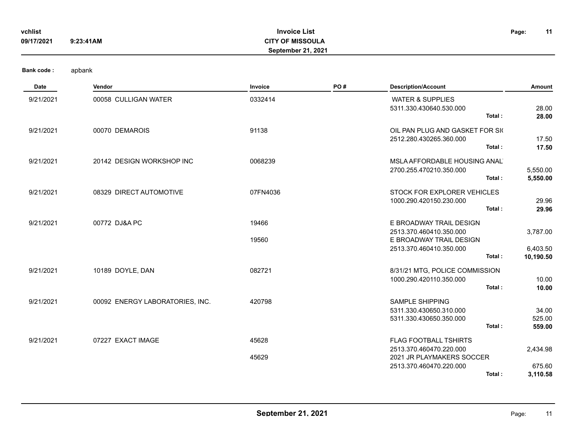| vchlist    |           | <b>Invoice List</b>       | Page: | 11 |
|------------|-----------|---------------------------|-------|----|
| 09/17/2021 | 9:23:41AM | <b>CITY OF MISSOULA</b>   |       |    |
|            |           | <b>September 21, 2021</b> |       |    |

**Bank code :** 

| Date      | Vendor                          | Invoice  | PO# | <b>Description/Account</b>                                                             | Amount                    |
|-----------|---------------------------------|----------|-----|----------------------------------------------------------------------------------------|---------------------------|
| 9/21/2021 | 00058 CULLIGAN WATER            | 0332414  |     | <b>WATER &amp; SUPPLIES</b><br>5311.330.430640.530.000<br>Total:                       | 28.00                     |
| 9/21/2021 | 00070 DEMAROIS                  | 91138    |     | OIL PAN PLUG AND GASKET FOR SIG<br>2512.280.430265.360.000                             | 28.00<br>17.50            |
|           |                                 |          |     | Total:                                                                                 | 17.50                     |
| 9/21/2021 | 20142 DESIGN WORKSHOP INC       | 0068239  |     | MSLA AFFORDABLE HOUSING ANAL<br>2700.255.470210.350.000                                | 5,550.00                  |
|           |                                 |          |     | Total:                                                                                 | 5,550.00                  |
| 9/21/2021 | 08329 DIRECT AUTOMOTIVE         | 07FN4036 |     | STOCK FOR EXPLORER VEHICLES<br>1000.290.420150.230.000                                 | 29.96                     |
|           |                                 |          |     | Total:                                                                                 | 29.96                     |
| 9/21/2021 | 00772 DJ&A PC                   | 19466    |     | E BROADWAY TRAIL DESIGN                                                                |                           |
|           |                                 | 19560    |     | 2513.370.460410.350.000<br>E BROADWAY TRAIL DESIGN                                     | 3,787.00                  |
|           |                                 |          |     | 2513.370.460410.350.000<br>Total:                                                      | 6,403.50<br>10,190.50     |
| 9/21/2021 | 10189 DOYLE, DAN                | 082721   |     | 8/31/21 MTG, POLICE COMMISSION                                                         |                           |
|           |                                 |          |     | 1000.290.420110.350.000<br>Total:                                                      | 10.00<br>10.00            |
| 9/21/2021 | 00092 ENERGY LABORATORIES, INC. | 420798   |     | <b>SAMPLE SHIPPING</b><br>5311.330.430650.310.000<br>5311.330.430650.350.000<br>Total: | 34.00<br>525.00<br>559.00 |
| 9/21/2021 | 07227 EXACT IMAGE               | 45628    |     | <b>FLAG FOOTBALL TSHIRTS</b><br>2513.370.460470.220.000                                | 2,434.98                  |
|           |                                 | 45629    |     | 2021 JR PLAYMAKERS SOCCER                                                              |                           |
|           |                                 |          |     | 2513.370.460470.220.000<br>Total:                                                      | 675.60<br>3,110.58        |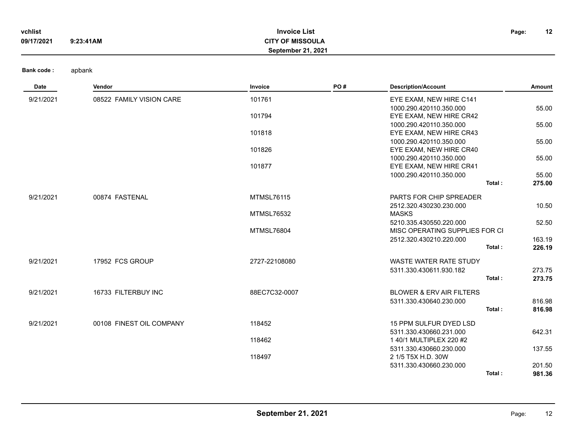| vchlist    |           | <b>Invoice List</b>       | Page: | 12<br>. . |
|------------|-----------|---------------------------|-------|-----------|
| 09/17/2021 | 9:23:41AM | <b>CITY OF MISSOULA</b>   |       |           |
|            |           | <b>September 21, 2021</b> |       |           |

| 9/21/2021<br>08522 FAMILY VISION CARE<br>101761<br>EYE EXAM, NEW HIRE C141<br>1000.290.420110.350.000<br>55.00<br>101794<br>EYE EXAM, NEW HIRE CR42<br>1000.290.420110.350.000<br>55.00<br>101818<br>EYE EXAM, NEW HIRE CR43<br>1000.290.420110.350.000<br>55.00<br>101826<br>EYE EXAM, NEW HIRE CR40<br>1000.290.420110.350.000<br>55.00<br>101877<br>EYE EXAM, NEW HIRE CR41<br>1000.290.420110.350.000<br>55.00<br>Total:<br>275.00<br>9/21/2021<br>00874 FASTENAL<br><b>MTMSL76115</b><br>PARTS FOR CHIP SPREADER<br>2512.320.430230.230.000<br>10.50<br><b>MASKS</b><br><b>MTMSL76532</b><br>52.50<br>5210.335.430550.220.000<br><b>MTMSL76804</b><br>MISC OPERATING SUPPLIES FOR CI<br>2512.320.430210.220.000<br>163.19 | Date | Vendor | Invoice | PO# | <b>Description/Account</b> | Amount |
|--------------------------------------------------------------------------------------------------------------------------------------------------------------------------------------------------------------------------------------------------------------------------------------------------------------------------------------------------------------------------------------------------------------------------------------------------------------------------------------------------------------------------------------------------------------------------------------------------------------------------------------------------------------------------------------------------------------------------------|------|--------|---------|-----|----------------------------|--------|
|                                                                                                                                                                                                                                                                                                                                                                                                                                                                                                                                                                                                                                                                                                                                |      |        |         |     |                            |        |
|                                                                                                                                                                                                                                                                                                                                                                                                                                                                                                                                                                                                                                                                                                                                |      |        |         |     |                            |        |
|                                                                                                                                                                                                                                                                                                                                                                                                                                                                                                                                                                                                                                                                                                                                |      |        |         |     |                            |        |
|                                                                                                                                                                                                                                                                                                                                                                                                                                                                                                                                                                                                                                                                                                                                |      |        |         |     |                            |        |
|                                                                                                                                                                                                                                                                                                                                                                                                                                                                                                                                                                                                                                                                                                                                |      |        |         |     |                            |        |
|                                                                                                                                                                                                                                                                                                                                                                                                                                                                                                                                                                                                                                                                                                                                |      |        |         |     |                            |        |
|                                                                                                                                                                                                                                                                                                                                                                                                                                                                                                                                                                                                                                                                                                                                |      |        |         |     |                            |        |
|                                                                                                                                                                                                                                                                                                                                                                                                                                                                                                                                                                                                                                                                                                                                |      |        |         |     |                            |        |
|                                                                                                                                                                                                                                                                                                                                                                                                                                                                                                                                                                                                                                                                                                                                |      |        |         |     |                            |        |
|                                                                                                                                                                                                                                                                                                                                                                                                                                                                                                                                                                                                                                                                                                                                |      |        |         |     |                            |        |
|                                                                                                                                                                                                                                                                                                                                                                                                                                                                                                                                                                                                                                                                                                                                |      |        |         |     |                            |        |
|                                                                                                                                                                                                                                                                                                                                                                                                                                                                                                                                                                                                                                                                                                                                |      |        |         |     |                            |        |
|                                                                                                                                                                                                                                                                                                                                                                                                                                                                                                                                                                                                                                                                                                                                |      |        |         |     |                            |        |
|                                                                                                                                                                                                                                                                                                                                                                                                                                                                                                                                                                                                                                                                                                                                |      |        |         |     |                            |        |
|                                                                                                                                                                                                                                                                                                                                                                                                                                                                                                                                                                                                                                                                                                                                |      |        |         |     |                            |        |
|                                                                                                                                                                                                                                                                                                                                                                                                                                                                                                                                                                                                                                                                                                                                |      |        |         |     |                            |        |
|                                                                                                                                                                                                                                                                                                                                                                                                                                                                                                                                                                                                                                                                                                                                |      |        |         |     |                            |        |
|                                                                                                                                                                                                                                                                                                                                                                                                                                                                                                                                                                                                                                                                                                                                |      |        |         |     | Total:                     | 226.19 |
| 17952 FCS GROUP<br>2727-22108080<br><b>WASTE WATER RATE STUDY</b><br>9/21/2021                                                                                                                                                                                                                                                                                                                                                                                                                                                                                                                                                                                                                                                 |      |        |         |     |                            |        |
| 5311.330.430611.930.182<br>273.75                                                                                                                                                                                                                                                                                                                                                                                                                                                                                                                                                                                                                                                                                              |      |        |         |     |                            |        |
| Total:<br>273.75                                                                                                                                                                                                                                                                                                                                                                                                                                                                                                                                                                                                                                                                                                               |      |        |         |     |                            |        |
| 9/21/2021<br>16733 FILTERBUY INC<br>88EC7C32-0007<br><b>BLOWER &amp; ERV AIR FILTERS</b>                                                                                                                                                                                                                                                                                                                                                                                                                                                                                                                                                                                                                                       |      |        |         |     |                            |        |
| 5311.330.430640.230.000<br>816.98                                                                                                                                                                                                                                                                                                                                                                                                                                                                                                                                                                                                                                                                                              |      |        |         |     |                            |        |
| Total:<br>816.98                                                                                                                                                                                                                                                                                                                                                                                                                                                                                                                                                                                                                                                                                                               |      |        |         |     |                            |        |
|                                                                                                                                                                                                                                                                                                                                                                                                                                                                                                                                                                                                                                                                                                                                |      |        |         |     |                            |        |
| 9/21/2021<br>00108 FINEST OIL COMPANY<br>118452<br>15 PPM SULFUR DYED LSD                                                                                                                                                                                                                                                                                                                                                                                                                                                                                                                                                                                                                                                      |      |        |         |     |                            |        |
| 5311.330.430660.231.000<br>642.31                                                                                                                                                                                                                                                                                                                                                                                                                                                                                                                                                                                                                                                                                              |      |        |         |     |                            |        |
| 118462<br>1 40/1 MULTIPLEX 220 #2<br>5311.330.430660.230.000<br>137.55                                                                                                                                                                                                                                                                                                                                                                                                                                                                                                                                                                                                                                                         |      |        |         |     |                            |        |
| 118497<br>2 1/5 T5X H.D. 30W                                                                                                                                                                                                                                                                                                                                                                                                                                                                                                                                                                                                                                                                                                   |      |        |         |     |                            |        |
| 5311.330.430660.230.000<br>201.50                                                                                                                                                                                                                                                                                                                                                                                                                                                                                                                                                                                                                                                                                              |      |        |         |     |                            |        |
| 981.36<br>Total:                                                                                                                                                                                                                                                                                                                                                                                                                                                                                                                                                                                                                                                                                                               |      |        |         |     |                            |        |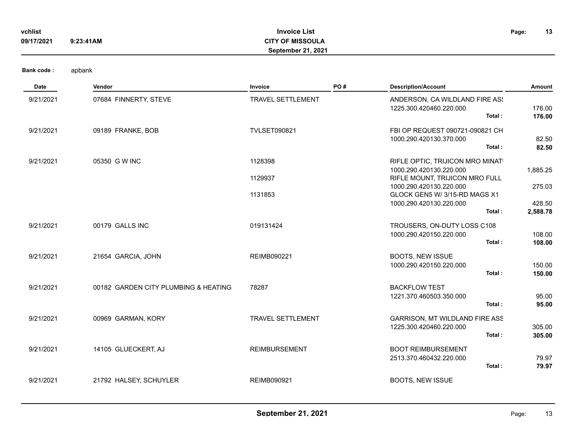| vchlist    |           | <b>Invoice List</b>       | Page: | 13 |
|------------|-----------|---------------------------|-------|----|
| 09/17/2021 | 9:23:41AM | <b>CITY OF MISSOULA</b>   |       |    |
|            |           | <b>September 21, 2021</b> |       |    |

| Date      | Vendor                               | Invoice                  | PO# | <b>Description/Account</b>                                           | Amount           |
|-----------|--------------------------------------|--------------------------|-----|----------------------------------------------------------------------|------------------|
| 9/21/2021 | 07684 FINNERTY, STEVE                | <b>TRAVEL SETTLEMENT</b> |     | ANDERSON, CA WILDLAND FIRE AS!<br>1225.300.420460.220.000<br>Total:  | 176.00<br>176.00 |
| 9/21/2021 | 09189 FRANKE, BOB                    | <b>TVLSET090821</b>      |     | FBI OP REQUEST 090721-090821 CH<br>1000.290.420130.370.000<br>Total: | 82.50<br>82.50   |
| 9/21/2021 | 05350 G W INC                        | 1128398                  |     | RIFLE OPTIC, TRIJICON MRO MINATI<br>1000.290.420130.220.000          | 1,885.25         |
|           |                                      | 1129937                  |     | RIFLE MOUNT, TRIJICON MRO FULL                                       |                  |
|           |                                      | 1131853                  |     | 1000.290.420130.220.000<br>GLOCK GEN5 W/ 3/15-RD MAGS X1             | 275.03           |
|           |                                      |                          |     | 1000.290.420130.220.000                                              | 428.50           |
|           |                                      |                          |     | Total:                                                               | 2,588.78         |
| 9/21/2021 | 00179 GALLS INC                      | 019131424                |     | TROUSERS, ON-DUTY LOSS C108                                          |                  |
|           |                                      |                          |     | 1000.290.420150.220.000<br>Total:                                    | 108.00<br>108.00 |
| 9/21/2021 | 21654 GARCIA, JOHN                   | <b>REIMB090221</b>       |     | <b>BOOTS, NEW ISSUE</b>                                              |                  |
|           |                                      |                          |     | 1000.290.420150.220.000<br>Total:                                    | 150.00<br>150.00 |
| 9/21/2021 | 00182 GARDEN CITY PLUMBING & HEATING | 78287                    |     | <b>BACKFLOW TEST</b>                                                 |                  |
|           |                                      |                          |     | 1221.370.460503.350.000<br>Total:                                    | 95.00<br>95.00   |
|           |                                      |                          |     |                                                                      |                  |
| 9/21/2021 | 00969 GARMAN, KORY                   | <b>TRAVEL SETTLEMENT</b> |     | <b>GARRISON, MT WILDLAND FIRE ASS</b><br>1225.300.420460.220.000     | 305.00           |
|           |                                      |                          |     | Total:                                                               | 305.00           |
| 9/21/2021 | 14105 GLUECKERT, AJ                  | <b>REIMBURSEMENT</b>     |     | <b>BOOT REIMBURSEMENT</b>                                            |                  |
|           |                                      |                          |     | 2513.370.460432.220.000<br>Total:                                    | 79.97<br>79.97   |
| 9/21/2021 | 21792 HALSEY, SCHUYLER               | <b>REIMB090921</b>       |     | <b>BOOTS, NEW ISSUE</b>                                              |                  |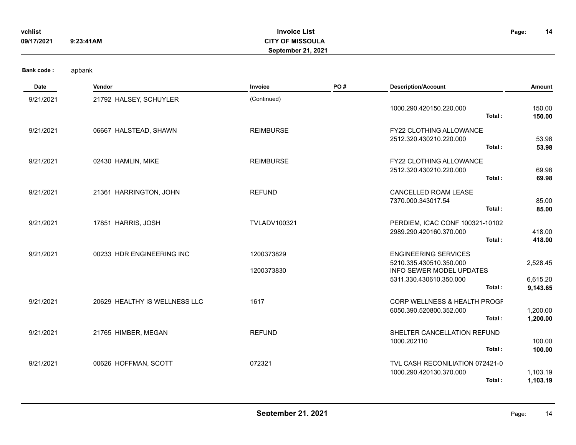| vchlist<br>09/17/2021 | 9:23:41AM                     | <b>Invoice List</b><br><b>CITY OF MISSOULA</b><br>September 21, 2021 |     |                                                         | Page:<br>14      |
|-----------------------|-------------------------------|----------------------------------------------------------------------|-----|---------------------------------------------------------|------------------|
| <b>Bank code:</b>     | apbank                        |                                                                      |     |                                                         |                  |
| Date                  | Vendor                        | Invoice                                                              | PO# | <b>Description/Account</b>                              | Amount           |
| 9/21/2021             | 21792 HALSEY, SCHUYLER        | (Continued)                                                          |     |                                                         |                  |
|                       |                               |                                                                      |     | 1000.290.420150.220.000<br>Total:                       | 150.00<br>150.00 |
| 9/21/2021             | 06667 HALSTEAD, SHAWN         | <b>REIMBURSE</b>                                                     |     | FY22 CLOTHING ALLOWANCE                                 |                  |
|                       |                               |                                                                      |     | 2512.320.430210.220.000<br>Total:                       | 53.98<br>53.98   |
| 9/21/2021             | 02430 HAMLIN, MIKE            | <b>REIMBURSE</b>                                                     |     | <b>FY22 CLOTHING ALLOWANCE</b>                          |                  |
|                       |                               |                                                                      |     | 2512.320.430210.220.000<br>Total:                       | 69.98<br>69.98   |
| 9/21/2021             | 21361 HARRINGTON, JOHN        | <b>REFUND</b>                                                        |     | CANCELLED ROAM LEASE                                    |                  |
|                       |                               |                                                                      |     | 7370.000.343017.54<br>Total:                            | 85.00<br>85.00   |
| 9/21/2021             | 17851 HARRIS, JOSH            | <b>TVLADV100321</b>                                                  |     | PERDIEM, ICAC CONF 100321-10102                         |                  |
|                       |                               |                                                                      |     | 2989.290.420160.370.000                                 | 418.00           |
|                       |                               |                                                                      |     | Total:                                                  | 418.00           |
| 9/21/2021             | 00233 HDR ENGINEERING INC     | 1200373829                                                           |     | <b>ENGINEERING SERVICES</b>                             |                  |
|                       |                               | 1200373830                                                           |     | 5210.335.430510.350.000<br>INFO SEWER MODEL UPDATES     | 2,528.45         |
|                       |                               |                                                                      |     | 5311.330.430610.350.000<br>Total:                       | 6,615.20         |
|                       |                               |                                                                      |     |                                                         | 9,143.65         |
| 9/21/2021             | 20629 HEALTHY IS WELLNESS LLC | 1617                                                                 |     | CORP WELLNESS & HEALTH PROGF<br>6050.390.520800.352.000 | 1,200.00         |
|                       |                               |                                                                      |     | Total:                                                  | 1,200.00         |
| 9/21/2021             | 21765 HIMBER, MEGAN           | <b>REFUND</b>                                                        |     | SHELTER CANCELLATION REFUND                             |                  |
|                       |                               |                                                                      |     | 1000.202110<br>Total:                                   | 100.00<br>100.00 |
| 9/21/2021             | 00626 HOFFMAN, SCOTT          | 072321                                                               |     | TVL CASH RECONILIATION 072421-0                         |                  |
|                       |                               |                                                                      |     | 1000.290.420130.370.000                                 | 1,103.19         |
|                       |                               |                                                                      |     | Total:                                                  | 1,103.19         |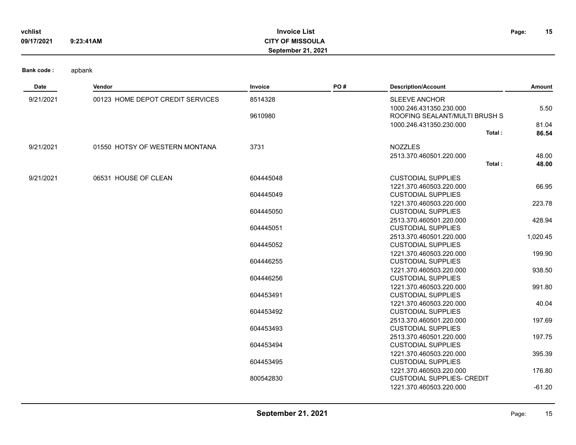| vchlist<br>09/17/2021 | 9:23:41AM                        | <b>Invoice List</b><br><b>CITY OF MISSOULA</b><br>September 21, 2021 |     |                                                          | 15<br>Page:    |
|-----------------------|----------------------------------|----------------------------------------------------------------------|-----|----------------------------------------------------------|----------------|
| <b>Bank code:</b>     | apbank                           |                                                                      |     |                                                          |                |
| Date                  | Vendor                           | Invoice                                                              | PO# | <b>Description/Account</b>                               | Amount         |
| 9/21/2021             | 00123 HOME DEPOT CREDIT SERVICES | 8514328                                                              |     | <b>SLEEVE ANCHOR</b><br>1000.246.431350.230.000          | 5.50           |
|                       |                                  | 9610980                                                              |     | ROOFING SEALANT/MULTI BRUSH S<br>1000.246.431350.230.000 | 81.04          |
|                       |                                  |                                                                      |     | Total:                                                   | 86.54          |
| 9/21/2021             | 01550 HOTSY OF WESTERN MONTANA   | 3731                                                                 |     | <b>NOZZLES</b><br>2513.370.460501.220.000<br>Total:      | 48.00<br>48.00 |
| 9/21/2021             | 06531 HOUSE OF CLEAN             | 604445048                                                            |     | <b>CUSTODIAL SUPPLIES</b>                                |                |
|                       |                                  | 604445049                                                            |     | 1221.370.460503.220.000<br><b>CUSTODIAL SUPPLIES</b>     | 66.95          |
|                       |                                  | 604445050                                                            |     | 1221.370.460503.220.000<br><b>CUSTODIAL SUPPLIES</b>     | 223.78         |
|                       |                                  | 604445051                                                            |     | 2513.370.460501.220.000<br><b>CUSTODIAL SUPPLIES</b>     | 428.94         |
|                       |                                  | 604445052                                                            |     | 2513.370.460501.220.000<br><b>CUSTODIAL SUPPLIES</b>     | 1,020.45       |
|                       |                                  | 604446255                                                            |     | 1221.370.460503.220.000<br><b>CUSTODIAL SUPPLIES</b>     | 199.90         |
|                       |                                  | 604446256                                                            |     | 1221.370.460503.220.000<br><b>CUSTODIAL SUPPLIES</b>     | 938.50         |
|                       |                                  | 604453491                                                            |     | 1221.370.460503.220.000<br><b>CUSTODIAL SUPPLIES</b>     | 991.80         |
|                       |                                  | 604453492                                                            |     | 1221.370.460503.220.000<br><b>CUSTODIAL SUPPLIES</b>     | 40.04          |
|                       |                                  | 604453493                                                            |     | 2513.370.460501.220.000<br><b>CUSTODIAL SUPPLIES</b>     | 197.69         |

604453494 CUSTODIAL SUPPLIES

604453495 CUSTODIAL SUPPLIES

800542830 CUSTODIAL SUPPLIES- CREDIT

2513.370.460501.220.000 197.75

1221.370.460503.220.000 395.39

1221.370.460503.220.000 176.80

1221.370.460503.220.000 -61.20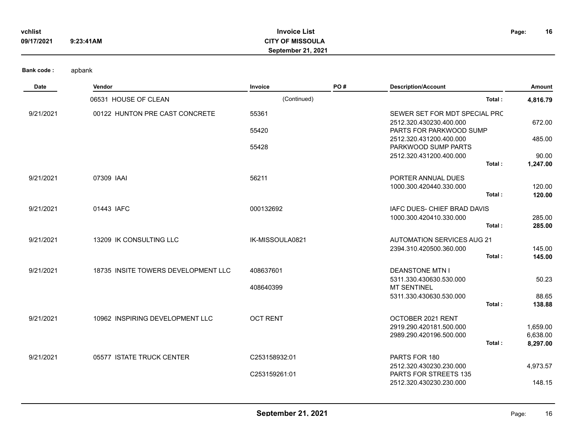| vchlist    |           | <b>Invoice List</b>       | Page: | 16 |
|------------|-----------|---------------------------|-------|----|
| 09/17/2021 | 9:23:41AM | <b>CITY OF MISSOULA</b>   |       |    |
|            |           | <b>September 21, 2021</b> |       |    |

| Date      | Vendor                              | Invoice         | PO# | <b>Description/Account</b>                         | Amount               |
|-----------|-------------------------------------|-----------------|-----|----------------------------------------------------|----------------------|
|           | 06531 HOUSE OF CLEAN                | (Continued)     |     | Total:                                             | 4,816.79             |
| 9/21/2021 | 00122 HUNTON PRE CAST CONCRETE      | 55361           |     | SEWER SET FOR MDT SPECIAL PRC                      |                      |
|           |                                     |                 |     | 2512.320.430230.400.000                            | 672.00               |
|           |                                     | 55420           |     | PARTS FOR PARKWOOD SUMP<br>2512.320.431200.400.000 | 485.00               |
|           |                                     | 55428           |     | PARKWOOD SUMP PARTS                                |                      |
|           |                                     |                 |     | 2512.320.431200.400.000                            | 90.00                |
|           |                                     |                 |     | Total:                                             | 1,247.00             |
| 9/21/2021 | 07309 IAAI                          | 56211           |     | PORTER ANNUAL DUES                                 |                      |
|           |                                     |                 |     | 1000.300.420440.330.000                            | 120.00               |
|           |                                     |                 |     | Total:                                             | 120.00               |
| 9/21/2021 | 01443 IAFC                          | 000132692       |     | <b>IAFC DUES- CHIEF BRAD DAVIS</b>                 |                      |
|           |                                     |                 |     | 1000.300.420410.330.000                            | 285.00               |
|           |                                     |                 |     | Total:                                             | 285.00               |
| 9/21/2021 | 13209 IK CONSULTING LLC             | IK-MISSOULA0821 |     | <b>AUTOMATION SERVICES AUG 21</b>                  |                      |
|           |                                     |                 |     | 2394.310.420500.360.000                            | 145.00               |
|           |                                     |                 |     | Total:                                             | 145.00               |
| 9/21/2021 | 18735 INSITE TOWERS DEVELOPMENT LLC | 408637601       |     | <b>DEANSTONE MTN I</b>                             |                      |
|           |                                     |                 |     | 5311.330.430630.530.000                            | 50.23                |
|           |                                     | 408640399       |     | <b>MT SENTINEL</b>                                 |                      |
|           |                                     |                 |     | 5311.330.430630.530.000<br>Total:                  | 88.65<br>138.88      |
|           |                                     |                 |     |                                                    |                      |
| 9/21/2021 | 10962 INSPIRING DEVELOPMENT LLC     | <b>OCT RENT</b> |     | OCTOBER 2021 RENT                                  |                      |
|           |                                     |                 |     | 2919.290.420181.500.000<br>2989.290.420196.500.000 | 1,659.00<br>6,638.00 |
|           |                                     |                 |     | Total:                                             | 8,297.00             |
|           |                                     |                 |     |                                                    |                      |
| 9/21/2021 | 05577 ISTATE TRUCK CENTER           | C253158932:01   |     | PARTS FOR 180<br>2512.320.430230.230.000           | 4,973.57             |
|           |                                     | C253159261:01   |     | PARTS FOR STREETS 135                              |                      |
|           |                                     |                 |     | 2512.320.430230.230.000                            | 148.15               |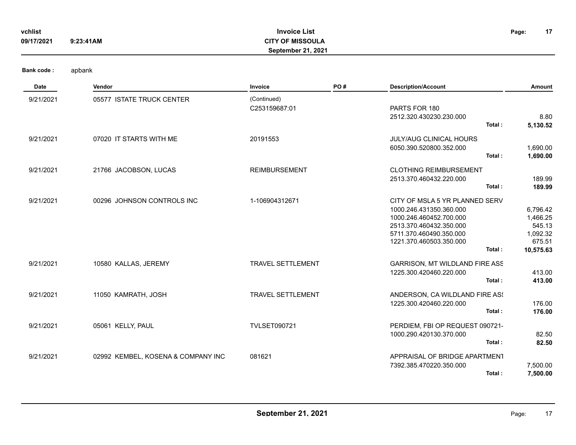| vchlist<br>09/17/2021 | 9:23:41AM                  | <b>Invoice List</b><br><b>CITY OF MISSOULA</b><br><b>September 21, 2021</b> |     |                                                                                                                                                                                 | 17<br>Page:                                                       |
|-----------------------|----------------------------|-----------------------------------------------------------------------------|-----|---------------------------------------------------------------------------------------------------------------------------------------------------------------------------------|-------------------------------------------------------------------|
| <b>Bank code:</b>     | apbank                     |                                                                             |     |                                                                                                                                                                                 |                                                                   |
| Date                  | Vendor                     | Invoice                                                                     | PO# | <b>Description/Account</b>                                                                                                                                                      | Amount                                                            |
| 9/21/2021             | 05577 ISTATE TRUCK CENTER  | (Continued)<br>C253159687:01                                                |     | PARTS FOR 180<br>2512.320.430230.230.000<br>Total:                                                                                                                              | 8.80<br>5,130.52                                                  |
| 9/21/2021             | 07020 IT STARTS WITH ME    | 20191553                                                                    |     | JULY/AUG CLINICAL HOURS<br>6050.390.520800.352.000<br>Total:                                                                                                                    | 1,690.00<br>1,690.00                                              |
| 9/21/2021             | 21766 JACOBSON, LUCAS      | <b>REIMBURSEMENT</b>                                                        |     | <b>CLOTHING REIMBURSEMENT</b><br>2513.370.460432.220.000<br>Total:                                                                                                              | 189.99<br>189.99                                                  |
| 9/21/2021             | 00296 JOHNSON CONTROLS INC | 1-106904312671                                                              |     | CITY OF MSLA 5 YR PLANNED SERV<br>1000.246.431350.360.000<br>1000.246.460452.700.000<br>2513.370.460432.350.000<br>5711.370.460490.350.000<br>1221.370.460503.350.000<br>Total: | 6,796.42<br>1,466.25<br>545.13<br>1,092.32<br>675.51<br>10,575.63 |
| 9/21/2021             | 10580 KALLAS, JEREMY       | <b>TRAVEL SETTLEMENT</b>                                                    |     | GARRISON, MT WILDLAND FIRE ASS<br>1225.300.420460.220.000<br>Total:                                                                                                             | 413.00<br>413.00                                                  |
| 9/21/2021             | 11050 KAMRATH, JOSH        | TRAVEL SETTLEMENT                                                           |     | ANDERSON, CA WILDLAND FIRE AS!<br>1225.300.420460.220.000<br>Total:                                                                                                             | 176.00<br>176.00                                                  |
| 9/21/2021             | 05061 KELLY, PAUL          | <b>TVLSET090721</b>                                                         |     | PERDIEM, FBI OP REQUEST 090721-<br>1000.290.420130.370.000<br>Total:                                                                                                            | 82.50<br>82.50                                                    |

**Invoice List**

| 9/21/2021 | KOSENA & COMPANY INC<br>02992 KEMBEL. | 081621 | APPRAISAL OF BRIDGE APARTMENT |
|-----------|---------------------------------------|--------|-------------------------------|
|           |                                       |        |                               |

**Total : 7,500.00**

7392.385.470220.350.000 7,500.00

**17**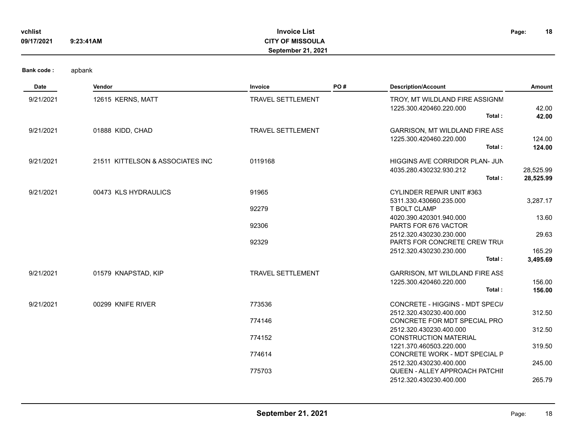| vchlist<br>09/17/2021 | 9:23:41AM                        | <b>Invoice List</b><br><b>CITY OF MISSOULA</b><br>September 21, 2021 |     |                                                                             | 18<br>Page:            |
|-----------------------|----------------------------------|----------------------------------------------------------------------|-----|-----------------------------------------------------------------------------|------------------------|
| Bank code:            | apbank                           |                                                                      |     |                                                                             |                        |
| Date                  | Vendor                           | Invoice                                                              | PO# | <b>Description/Account</b>                                                  | Amount                 |
| 9/21/2021             | 12615 KERNS, MATT                | TRAVEL SETTLEMENT                                                    |     | TROY, MT WILDLAND FIRE ASSIGNM<br>1225.300.420460.220.000<br>Total:         | 42.00<br>42.00         |
| 9/21/2021             | 01888 KIDD, CHAD                 | TRAVEL SETTLEMENT                                                    |     | GARRISON, MT WILDLAND FIRE ASS<br>1225.300.420460.220.000<br>Total:         | 124.00<br>124.00       |
| 9/21/2021             | 21511 KITTELSON & ASSOCIATES INC | 0119168                                                              |     | HIGGINS AVE CORRIDOR PLAN- JUN<br>4035.280.430232.930.212<br>Total:         | 28,525.99<br>28,525.99 |
| 9/21/2021             | 00473 KLS HYDRAULICS             | 91965<br>92279                                                       |     | <b>CYLINDER REPAIR UNIT #363</b><br>5311.330.430660.235.000<br>T BOLT CLAMP | 3,287.17               |
|                       |                                  | 92306                                                                |     | 4020.390.420301.940.000<br>PARTS FOR 676 VACTOR                             | 13.60                  |
|                       |                                  | 92329                                                                |     | 2512.320.430230.230.000<br>PARTS FOR CONCRETE CREW TRU                      | 29.63                  |
|                       |                                  |                                                                      |     | 2512.320.430230.230.000<br>Total:                                           | 165.29<br>3,495.69     |
| 9/21/2021             | 01579 KNAPSTAD, KIP              | <b>TRAVEL SETTLEMENT</b>                                             |     | GARRISON, MT WILDLAND FIRE ASS<br>1225.300.420460.220.000<br>Total:         | 156.00<br>156.00       |
| 9/21/2021             | 00299 KNIFE RIVER                | 773536                                                               |     | CONCRETE - HIGGINS - MDT SPECI/<br>2512.320.430230.400.000                  | 312.50                 |
|                       |                                  | 774146                                                               |     | CONCRETE FOR MDT SPECIAL PRO<br>2512.320.430230.400.000                     | 312.50                 |
|                       |                                  | 774152                                                               |     | <b>CONSTRUCTION MATERIAL</b><br>1221.370.460503.220.000                     | 319.50                 |
|                       |                                  | 774614                                                               |     | CONCRETE WORK - MDT SPECIAL P<br>2512.320.430230.400.000                    | 245.00                 |
|                       |                                  | 775703                                                               |     | QUEEN - ALLEY APPROACH PATCHII<br>2512.320.430230.400.000                   | 265.79                 |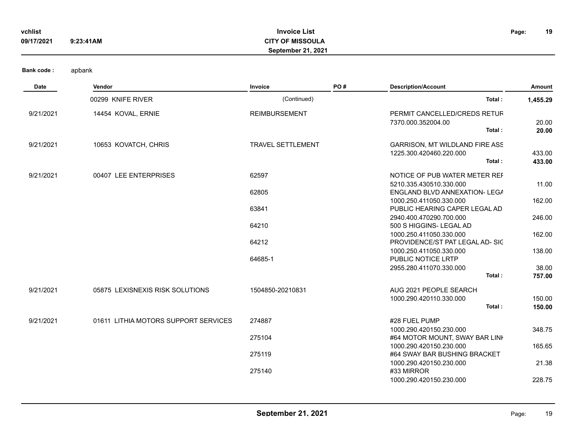| vchlist<br>09/17/2021 | 9:23:41AM                            | <b>Invoice List</b><br><b>CITY OF MISSOULA</b><br>September 21, 2021 |     |                                                                                           | 19<br>Page:      |
|-----------------------|--------------------------------------|----------------------------------------------------------------------|-----|-------------------------------------------------------------------------------------------|------------------|
| <b>Bank code:</b>     | apbank                               |                                                                      |     |                                                                                           |                  |
| Date                  | Vendor                               | Invoice                                                              | PO# | <b>Description/Account</b>                                                                | Amount           |
|                       | 00299 KNIFE RIVER                    | (Continued)                                                          |     | Total:                                                                                    | 1,455.29         |
| 9/21/2021             | 14454 KOVAL, ERNIE                   | <b>REIMBURSEMENT</b>                                                 |     | PERMIT CANCELLED/CREDS RETUR<br>7370.000.352004.00<br>Total:                              | 20.00<br>20.00   |
| 9/21/2021             | 10653 KOVATCH, CHRIS                 | TRAVEL SETTLEMENT                                                    |     | GARRISON, MT WILDLAND FIRE ASS<br>1225.300.420460.220.000<br>Total:                       | 433.00<br>433.00 |
| 9/21/2021             | 00407 LEE ENTERPRISES                | 62597<br>62805                                                       |     | NOTICE OF PUB WATER METER REF<br>5210.335.430510.330.000<br>ENGLAND BLVD ANNEXATION- LEGA | 11.00            |
|                       |                                      | 63841                                                                |     | 1000.250.411050.330.000<br>PUBLIC HEARING CAPER LEGAL AD                                  | 162.00           |
|                       |                                      | 64210                                                                |     | 2940.400.470290.700.000<br>500 S HIGGINS- LEGAL AD                                        | 246.00           |
|                       |                                      | 64212                                                                |     | 1000.250.411050.330.000<br>PROVIDENCE/ST PAT LEGAL AD-SIC                                 | 162.00           |
|                       |                                      | 64685-1                                                              |     | 1000.250.411050.330.000<br>PUBLIC NOTICE LRTP                                             | 138.00           |
|                       |                                      |                                                                      |     | 2955.280.411070.330.000<br>Total:                                                         | 38.00<br>757.00  |
| 9/21/2021             | 05875 LEXISNEXIS RISK SOLUTIONS      | 1504850-20210831                                                     |     | AUG 2021 PEOPLE SEARCH<br>1000.290.420110.330.000<br>Total:                               | 150.00<br>150.00 |
| 9/21/2021             | 01611 LITHIA MOTORS SUPPORT SERVICES | 274887                                                               |     | #28 FUEL PUMP                                                                             |                  |
|                       |                                      | 275104                                                               |     | 1000.290.420150.230.000<br>#64 MOTOR MOUNT, SWAY BAR LINI                                 | 348.75           |
|                       |                                      | 275119                                                               |     | 1000.290.420150.230.000<br>#64 SWAY BAR BUSHING BRACKET                                   | 165.65           |
|                       |                                      | 275140                                                               |     | 1000.290.420150.230.000<br>#33 MIRROR<br>1000.290.420150.230.000                          | 21.38<br>228.75  |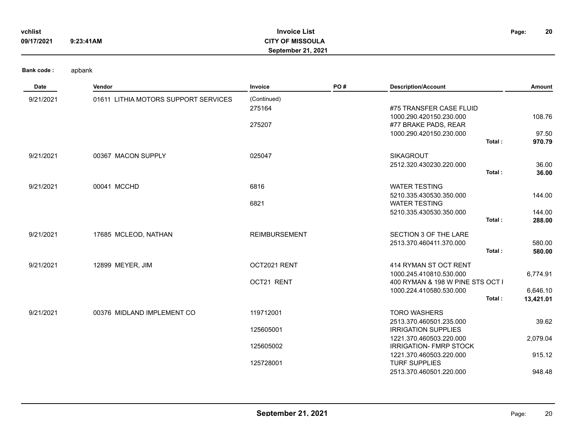| vchlist    |           | <b>Invoice List</b>       | Page: | 20 |
|------------|-----------|---------------------------|-------|----|
| 09/17/2021 | 9:23:41AM | <b>CITY OF MISSOULA</b>   |       |    |
|            |           | <b>September 21, 2021</b> |       |    |

| Date      | <b>Vendor</b>                        | Invoice              | PO# | <b>Description/Account</b>       | Amount    |
|-----------|--------------------------------------|----------------------|-----|----------------------------------|-----------|
| 9/21/2021 | 01611 LITHIA MOTORS SUPPORT SERVICES | (Continued)          |     |                                  |           |
|           |                                      | 275164               |     | #75 TRANSFER CASE FLUID          |           |
|           |                                      |                      |     | 1000.290.420150.230.000          | 108.76    |
|           |                                      | 275207               |     | #77 BRAKE PADS, REAR             |           |
|           |                                      |                      |     | 1000.290.420150.230.000          | 97.50     |
|           |                                      |                      |     | Total:                           | 970.79    |
| 9/21/2021 | 00367 MACON SUPPLY                   | 025047               |     | <b>SIKAGROUT</b>                 |           |
|           |                                      |                      |     | 2512.320.430230.220.000          | 36.00     |
|           |                                      |                      |     | Total:                           | 36.00     |
| 9/21/2021 | 00041 MCCHD                          | 6816                 |     | <b>WATER TESTING</b>             |           |
|           |                                      |                      |     | 5210.335.430530.350.000          | 144.00    |
|           |                                      | 6821                 |     | <b>WATER TESTING</b>             |           |
|           |                                      |                      |     | 5210.335.430530.350.000          | 144.00    |
|           |                                      |                      |     | Total:                           | 288.00    |
| 9/21/2021 | 17685 MCLEOD, NATHAN                 | <b>REIMBURSEMENT</b> |     | SECTION 3 OF THE LARE            |           |
|           |                                      |                      |     | 2513.370.460411.370.000          | 580.00    |
|           |                                      |                      |     | Total:                           | 580.00    |
| 9/21/2021 | 12899 MEYER, JIM                     | OCT2021 RENT         |     | 414 RYMAN ST OCT RENT            |           |
|           |                                      |                      |     | 1000.245.410810.530.000          | 6,774.91  |
|           |                                      | OCT21 RENT           |     | 400 RYMAN & 198 W PINE STS OCT I |           |
|           |                                      |                      |     | 1000.224.410580.530.000          | 6,646.10  |
|           |                                      |                      |     | Total:                           | 13,421.01 |
| 9/21/2021 | 00376 MIDLAND IMPLEMENT CO           | 119712001            |     | <b>TORO WASHERS</b>              |           |
|           |                                      |                      |     | 2513.370.460501.235.000          | 39.62     |
|           |                                      | 125605001            |     | <b>IRRIGATION SUPPLIES</b>       |           |
|           |                                      |                      |     | 1221.370.460503.220.000          | 2,079.04  |
|           |                                      | 125605002            |     | <b>IRRIGATION- FMRP STOCK</b>    |           |
|           |                                      |                      |     | 1221.370.460503.220.000          | 915.12    |
|           |                                      | 125728001            |     | <b>TURF SUPPLIES</b>             | 948.48    |
|           |                                      |                      |     | 2513.370.460501.220.000          |           |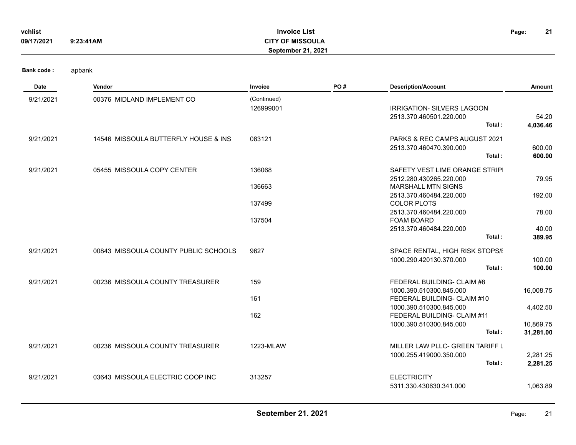| vchlist<br>09/17/2021 | 9:23:41AM                            | <b>Invoice List</b><br><b>CITY OF MISSOULA</b><br>September 21, 2021 |     |                                                                                        | 21<br>Page:            |
|-----------------------|--------------------------------------|----------------------------------------------------------------------|-----|----------------------------------------------------------------------------------------|------------------------|
| <b>Bank code:</b>     | apbank                               |                                                                      |     |                                                                                        |                        |
| Date                  | Vendor                               | Invoice                                                              | PO# | <b>Description/Account</b>                                                             | Amount                 |
| 9/21/2021             | 00376 MIDLAND IMPLEMENT CO           | (Continued)<br>126999001                                             |     | <b>IRRIGATION- SILVERS LAGOON</b><br>2513.370.460501.220.000<br>Total:                 | 54.20<br>4,036.46      |
| 9/21/2021             | 14546 MISSOULA BUTTERFLY HOUSE & INS | 083121                                                               |     | PARKS & REC CAMPS AUGUST 2021<br>2513.370.460470.390.000<br>Total:                     | 600.00<br>600.00       |
| 9/21/2021             | 05455 MISSOULA COPY CENTER           | 136068<br>136663                                                     |     | SAFETY VEST LIME ORANGE STRIPI<br>2512.280.430265.220.000<br><b>MARSHALL MTN SIGNS</b> | 79.95                  |
|                       |                                      | 137499                                                               |     | 2513.370.460484.220.000<br><b>COLOR PLOTS</b>                                          | 192.00                 |
|                       |                                      | 137504                                                               |     | 2513.370.460484.220.000<br>FOAM BOARD                                                  | 78.00                  |
|                       |                                      |                                                                      |     | 2513.370.460484.220.000<br>Total:                                                      | 40.00<br>389.95        |
| 9/21/2021             | 00843 MISSOULA COUNTY PUBLIC SCHOOLS | 9627                                                                 |     | SPACE RENTAL, HIGH RISK STOPS/I<br>1000.290.420130.370.000<br>Total:                   | 100.00<br>100.00       |
| 9/21/2021             | 00236 MISSOULA COUNTY TREASURER      | 159                                                                  |     | FEDERAL BUILDING- CLAIM #8                                                             |                        |
|                       |                                      | 161                                                                  |     | 1000.390.510300.845.000<br>FEDERAL BUILDING- CLAIM #10                                 | 16,008.75              |
|                       |                                      | 162                                                                  |     | 1000.390.510300.845.000<br>FEDERAL BUILDING- CLAIM #11                                 | 4,402.50               |
|                       |                                      |                                                                      |     | 1000.390.510300.845.000<br>Total:                                                      | 10,869.75<br>31,281.00 |
| 9/21/2021             | 00236 MISSOULA COUNTY TREASURER      | 1223-MLAW                                                            |     | MILLER LAW PLLC- GREEN TARIFF L<br>1000.255.419000.350.000                             |                        |
|                       |                                      |                                                                      |     | Total:                                                                                 | 2,281.25<br>2,281.25   |

**Invoice List**

|           |                                  |        |                         | ------- |
|-----------|----------------------------------|--------|-------------------------|---------|
| 9/21/2021 | 03643 MISSOULA ELECTRIC COOP INC | 313257 | <b>ELECTRICITY</b>      |         |
|           |                                  |        | 5311.330.430630.341.000 | .063.89 |
|           |                                  |        |                         |         |

**21**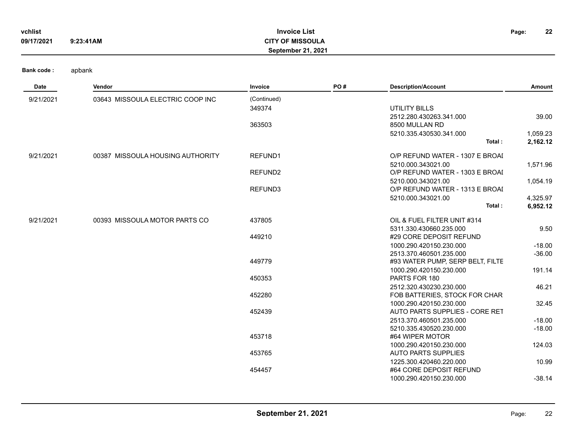| vchlist    |           | <b>Invoice List</b>       | Page: | 22 |
|------------|-----------|---------------------------|-------|----|
| 09/17/2021 | 9:23:41AM | <b>CITY OF MISSOULA</b>   |       |    |
|            |           | <b>September 21, 2021</b> |       |    |

| Date      | Vendor                           | Invoice             | PO# | <b>Description/Account</b>                               | Amount   |
|-----------|----------------------------------|---------------------|-----|----------------------------------------------------------|----------|
| 9/21/2021 | 03643 MISSOULA ELECTRIC COOP INC | (Continued)         |     |                                                          |          |
|           |                                  | 349374              |     | <b>UTILITY BILLS</b>                                     |          |
|           |                                  |                     |     | 2512.280.430263.341.000                                  | 39.00    |
|           |                                  | 363503              |     | 8500 MULLAN RD                                           |          |
|           |                                  |                     |     | 5210.335.430530.341.000                                  | 1,059.23 |
|           |                                  |                     |     | Total:                                                   | 2,162.12 |
| 9/21/2021 | 00387 MISSOULA HOUSING AUTHORITY | REFUND1             |     | O/P REFUND WATER - 1307 E BROAI                          |          |
|           |                                  |                     |     | 5210.000.343021.00                                       | 1,571.96 |
|           |                                  | REFUND <sub>2</sub> |     | O/P REFUND WATER - 1303 E BROAI                          |          |
|           |                                  |                     |     | 5210.000.343021.00                                       | 1,054.19 |
|           |                                  | REFUND3             |     | O/P REFUND WATER - 1313 E BROAI                          |          |
|           |                                  |                     |     | 5210.000.343021.00                                       | 4,325.97 |
|           |                                  |                     |     | Total:                                                   | 6,952.12 |
| 9/21/2021 | 00393 MISSOULA MOTOR PARTS CO    | 437805              |     | OIL & FUEL FILTER UNIT #314                              |          |
|           |                                  |                     |     | 5311.330.430660.235.000                                  | 9.50     |
|           |                                  | 449210              |     | #29 CORE DEPOSIT REFUND                                  |          |
|           |                                  |                     |     | 1000.290.420150.230.000                                  | $-18.00$ |
|           |                                  |                     |     | 2513.370.460501.235.000                                  | $-36.00$ |
|           |                                  | 449779              |     | #93 WATER PUMP, SERP BELT, FILTE                         |          |
|           |                                  |                     |     | 1000.290.420150.230.000                                  | 191.14   |
|           |                                  | 450353              |     | PARTS FOR 180                                            |          |
|           |                                  |                     |     | 2512.320.430230.230.000                                  | 46.21    |
|           |                                  | 452280              |     | FOB BATTERIES, STOCK FOR CHAR<br>1000.290.420150.230.000 |          |
|           |                                  | 452439              |     | AUTO PARTS SUPPLIES - CORE RET                           | 32.45    |
|           |                                  |                     |     | 2513.370.460501.235.000                                  | $-18.00$ |
|           |                                  |                     |     | 5210.335.430520.230.000                                  | $-18.00$ |
|           |                                  | 453718              |     | #64 WIPER MOTOR                                          |          |
|           |                                  |                     |     | 1000.290.420150.230.000                                  | 124.03   |
|           |                                  | 453765              |     | <b>AUTO PARTS SUPPLIES</b>                               |          |
|           |                                  |                     |     | 1225.300.420460.220.000                                  | 10.99    |
|           |                                  | 454457              |     | #64 CORE DEPOSIT REFUND                                  |          |
|           |                                  |                     |     | 1000.290.420150.230.000                                  | $-38.14$ |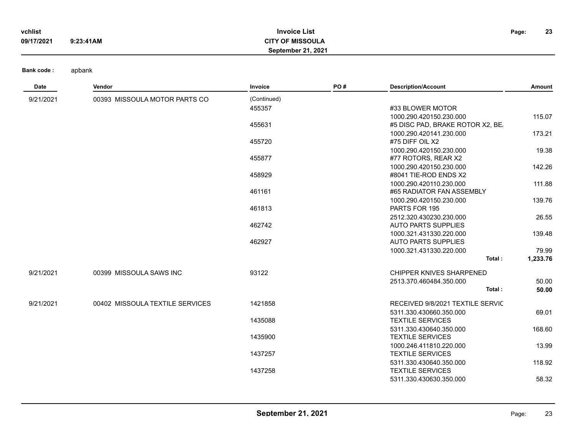| vchlist    |           | <b>Invoice List</b>       | Page: | 23 |
|------------|-----------|---------------------------|-------|----|
| 09/17/2021 | 9:23:41AM | <b>CITY OF MISSOULA</b>   |       |    |
|            |           | <b>September 21, 2021</b> |       |    |

| Date      | Vendor                          | Invoice     | PO# | <b>Description/Account</b>       | Amount   |
|-----------|---------------------------------|-------------|-----|----------------------------------|----------|
| 9/21/2021 | 00393 MISSOULA MOTOR PARTS CO   | (Continued) |     |                                  |          |
|           |                                 | 455357      |     | #33 BLOWER MOTOR                 |          |
|           |                                 |             |     | 1000.290.420150.230.000          | 115.07   |
|           |                                 | 455631      |     | #5 DISC PAD, BRAKE ROTOR X2, BE. |          |
|           |                                 |             |     | 1000.290.420141.230.000          | 173.21   |
|           |                                 | 455720      |     | #75 DIFF OIL X2                  |          |
|           |                                 |             |     | 1000.290.420150.230.000          | 19.38    |
|           |                                 | 455877      |     | #77 ROTORS, REAR X2              |          |
|           |                                 |             |     | 1000.290.420150.230.000          | 142.26   |
|           |                                 | 458929      |     | #8041 TIE-ROD ENDS X2            |          |
|           |                                 |             |     | 1000.290.420110.230.000          | 111.88   |
|           |                                 | 461161      |     | #65 RADIATOR FAN ASSEMBLY        |          |
|           |                                 |             |     | 1000.290.420150.230.000          | 139.76   |
|           |                                 | 461813      |     | PARTS FOR 195                    |          |
|           |                                 |             |     | 2512.320.430230.230.000          | 26.55    |
|           |                                 | 462742      |     | <b>AUTO PARTS SUPPLIES</b>       |          |
|           |                                 |             |     | 1000.321.431330.220.000          | 139.48   |
|           |                                 | 462927      |     | <b>AUTO PARTS SUPPLIES</b>       |          |
|           |                                 |             |     | 1000.321.431330.220.000          | 79.99    |
|           |                                 |             |     | Total:                           | 1,233.76 |
| 9/21/2021 | 00399 MISSOULA SAWS INC         | 93122       |     | CHIPPER KNIVES SHARPENED         |          |
|           |                                 |             |     | 2513.370.460484.350.000          | 50.00    |
|           |                                 |             |     | Total:                           | 50.00    |
| 9/21/2021 | 00402 MISSOULA TEXTILE SERVICES | 1421858     |     | RECEIVED 9/8/2021 TEXTILE SERVIC |          |
|           |                                 |             |     | 5311.330.430660.350.000          | 69.01    |
|           |                                 | 1435088     |     | <b>TEXTILE SERVICES</b>          |          |
|           |                                 |             |     | 5311.330.430640.350.000          | 168.60   |
|           |                                 | 1435900     |     | <b>TEXTILE SERVICES</b>          |          |
|           |                                 |             |     | 1000.246.411810.220.000          | 13.99    |
|           |                                 | 1437257     |     | <b>TEXTILE SERVICES</b>          |          |
|           |                                 |             |     | 5311.330.430640.350.000          | 118.92   |
|           |                                 | 1437258     |     | <b>TEXTILE SERVICES</b>          |          |
|           |                                 |             |     | 5311.330.430630.350.000          | 58.32    |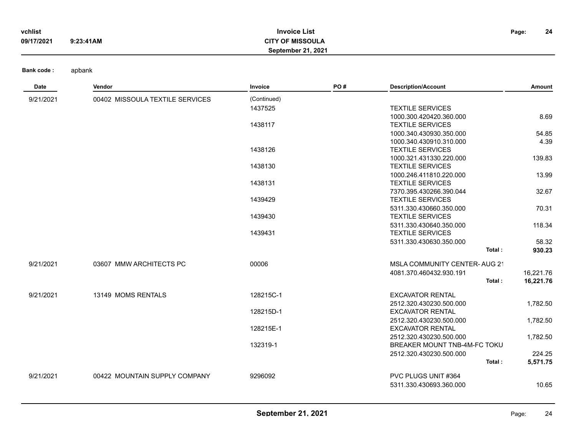| vchlist    |           | <b>Invoice List</b>       | Page: | 24 |
|------------|-----------|---------------------------|-------|----|
| 09/17/2021 | 9:23:41AM | <b>CITY OF MISSOULA</b>   |       |    |
|            |           | <b>September 21, 2021</b> |       |    |

| Date      | Vendor                          | Invoice     | PO# | <b>Description/Account</b>          | Amount    |
|-----------|---------------------------------|-------------|-----|-------------------------------------|-----------|
| 9/21/2021 | 00402 MISSOULA TEXTILE SERVICES | (Continued) |     |                                     |           |
|           |                                 | 1437525     |     | <b>TEXTILE SERVICES</b>             |           |
|           |                                 |             |     | 1000.300.420420.360.000             | 8.69      |
|           |                                 | 1438117     |     | <b>TEXTILE SERVICES</b>             |           |
|           |                                 |             |     | 1000.340.430930.350.000             | 54.85     |
|           |                                 |             |     | 1000.340.430910.310.000             | 4.39      |
|           |                                 | 1438126     |     | <b>TEXTILE SERVICES</b>             |           |
|           |                                 |             |     | 1000.321.431330.220.000             | 139.83    |
|           |                                 | 1438130     |     | <b>TEXTILE SERVICES</b>             |           |
|           |                                 |             |     | 1000.246.411810.220.000             | 13.99     |
|           |                                 | 1438131     |     | <b>TEXTILE SERVICES</b>             |           |
|           |                                 |             |     | 7370.395.430266.390.044             | 32.67     |
|           |                                 | 1439429     |     | <b>TEXTILE SERVICES</b>             |           |
|           |                                 |             |     | 5311.330.430660.350.000             | 70.31     |
|           |                                 | 1439430     |     | <b>TEXTILE SERVICES</b>             |           |
|           |                                 |             |     | 5311.330.430640.350.000             | 118.34    |
|           |                                 | 1439431     |     | <b>TEXTILE SERVICES</b>             |           |
|           |                                 |             |     | 5311.330.430630.350.000             | 58.32     |
|           |                                 |             |     | Total:                              | 930.23    |
| 9/21/2021 | 03607 MMW ARCHITECTS PC         | 00006       |     | <b>MSLA COMMUNITY CENTER-AUG 21</b> |           |
|           |                                 |             |     | 4081.370.460432.930.191             | 16,221.76 |
|           |                                 |             |     | Total:                              | 16,221.76 |
| 9/21/2021 | 13149 MOMS RENTALS              | 128215C-1   |     | <b>EXCAVATOR RENTAL</b>             |           |
|           |                                 |             |     | 2512.320.430230.500.000             | 1,782.50  |
|           |                                 | 128215D-1   |     | <b>EXCAVATOR RENTAL</b>             |           |
|           |                                 |             |     | 2512.320.430230.500.000             | 1,782.50  |
|           |                                 | 128215E-1   |     | <b>EXCAVATOR RENTAL</b>             |           |
|           |                                 |             |     | 2512.320.430230.500.000             | 1,782.50  |
|           |                                 | 132319-1    |     | BREAKER MOUNT TNB-4M-FC TOKU        |           |
|           |                                 |             |     | 2512.320.430230.500.000             | 224.25    |
|           |                                 |             |     | Total:                              | 5,571.75  |
| 9/21/2021 | 00422 MOUNTAIN SUPPLY COMPANY   | 9296092     |     | PVC PLUGS UNIT #364                 |           |
|           |                                 |             |     | 5311.330.430693.360.000             | 10.65     |
|           |                                 |             |     |                                     |           |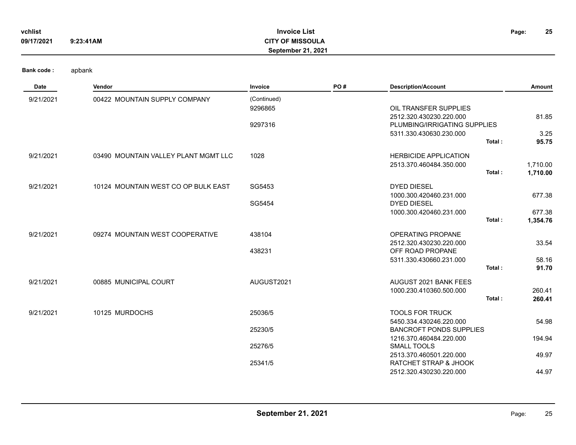| vchlist    |           | <b>Invoice List</b>       | Page: | 25 |
|------------|-----------|---------------------------|-------|----|
| 09/17/2021 | 9:23:41AM | <b>CITY OF MISSOULA</b>   |       |    |
|            |           | <b>September 21, 2021</b> |       |    |

| Date      | Vendor                               | Invoice     | PO# | <b>Description/Account</b>     | Amount   |
|-----------|--------------------------------------|-------------|-----|--------------------------------|----------|
| 9/21/2021 | 00422 MOUNTAIN SUPPLY COMPANY        | (Continued) |     |                                |          |
|           |                                      | 9296865     |     | OIL TRANSFER SUPPLIES          |          |
|           |                                      |             |     | 2512.320.430230.220.000        | 81.85    |
|           |                                      | 9297316     |     | PLUMBING/IRRIGATING SUPPLIES   |          |
|           |                                      |             |     | 5311.330.430630.230.000        | 3.25     |
|           |                                      |             |     | Total:                         | 95.75    |
| 9/21/2021 | 03490 MOUNTAIN VALLEY PLANT MGMT LLC | 1028        |     | <b>HERBICIDE APPLICATION</b>   |          |
|           |                                      |             |     | 2513.370.460484.350.000        | 1,710.00 |
|           |                                      |             |     | Total:                         | 1,710.00 |
| 9/21/2021 | 10124 MOUNTAIN WEST CO OP BULK EAST  | SG5453      |     | DYED DIESEL                    |          |
|           |                                      |             |     | 1000.300.420460.231.000        | 677.38   |
|           |                                      | SG5454      |     | <b>DYED DIESEL</b>             |          |
|           |                                      |             |     | 1000.300.420460.231.000        | 677.38   |
|           |                                      |             |     | Total:                         | 1,354.76 |
| 9/21/2021 | 09274 MOUNTAIN WEST COOPERATIVE      | 438104      |     | OPERATING PROPANE              |          |
|           |                                      |             |     | 2512.320.430230.220.000        | 33.54    |
|           |                                      | 438231      |     | OFF ROAD PROPANE               |          |
|           |                                      |             |     | 5311.330.430660.231.000        | 58.16    |
|           |                                      |             |     | Total:                         | 91.70    |
| 9/21/2021 | 00885 MUNICIPAL COURT                | AUGUST2021  |     | <b>AUGUST 2021 BANK FEES</b>   |          |
|           |                                      |             |     | 1000.230.410360.500.000        | 260.41   |
|           |                                      |             |     | Total:                         | 260.41   |
| 9/21/2021 | 10125 MURDOCHS                       | 25036/5     |     | <b>TOOLS FOR TRUCK</b>         |          |
|           |                                      |             |     | 5450.334.430246.220.000        | 54.98    |
|           |                                      | 25230/5     |     | <b>BANCROFT PONDS SUPPLIES</b> |          |
|           |                                      |             |     | 1216.370.460484.220.000        | 194.94   |
|           |                                      | 25276/5     |     | <b>SMALL TOOLS</b>             |          |
|           |                                      |             |     | 2513.370.460501.220.000        | 49.97    |
|           |                                      | 25341/5     |     | RATCHET STRAP & JHOOK          |          |
|           |                                      |             |     | 2512.320.430230.220.000        | 44.97    |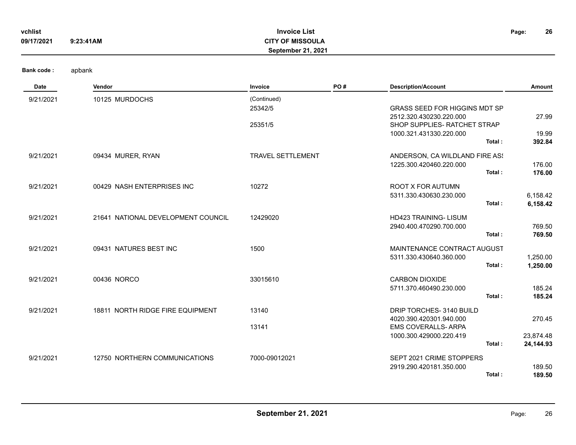| vchlist<br>09/17/2021 | 9:23:41AM                          | <b>Invoice List</b><br><b>CITY OF MISSOULA</b><br>September 21, 2021 |     |                                                                                                                               | 26<br>Page:                      |
|-----------------------|------------------------------------|----------------------------------------------------------------------|-----|-------------------------------------------------------------------------------------------------------------------------------|----------------------------------|
| <b>Bank code:</b>     | apbank                             |                                                                      |     |                                                                                                                               |                                  |
| Date                  | Vendor                             | Invoice                                                              | PO# | <b>Description/Account</b>                                                                                                    | Amount                           |
| 9/21/2021             | 10125 MURDOCHS                     | (Continued)<br>25342/5<br>25351/5                                    |     | GRASS SEED FOR HIGGINS MDT SP<br>2512.320.430230.220.000<br>SHOP SUPPLIES- RATCHET STRAP<br>1000.321.431330.220.000<br>Total: | 27.99<br>19.99<br>392.84         |
| 9/21/2021             | 09434 MURER, RYAN                  | TRAVEL SETTLEMENT                                                    |     | ANDERSON, CA WILDLAND FIRE AS!<br>1225.300.420460.220.000<br>Total:                                                           | 176.00<br>176.00                 |
| 9/21/2021             | 00429 NASH ENTERPRISES INC         | 10272                                                                |     | ROOT X FOR AUTUMN<br>5311.330.430630.230.000<br>Total:                                                                        | 6,158.42<br>6,158.42             |
| 9/21/2021             | 21641 NATIONAL DEVELOPMENT COUNCIL | 12429020                                                             |     | HD423 TRAINING- LISUM<br>2940.400.470290.700.000<br>Total:                                                                    | 769.50<br>769.50                 |
| 9/21/2021             | 09431 NATURES BEST INC             | 1500                                                                 |     | MAINTENANCE CONTRACT AUGUST<br>5311.330.430640.360.000<br>Total:                                                              | 1,250.00<br>1,250.00             |
| 9/21/2021             | 00436 NORCO                        | 33015610                                                             |     | <b>CARBON DIOXIDE</b><br>5711.370.460490.230.000<br>Total:                                                                    | 185.24<br>185.24                 |
| 9/21/2021             | 18811 NORTH RIDGE FIRE EQUIPMENT   | 13140<br>13141                                                       |     | DRIP TORCHES- 3140 BUILD<br>4020.390.420301.940.000<br><b>EMS COVERALLS- ARPA</b><br>1000.300.429000.220.419<br>Total:        | 270.45<br>23,874.48<br>24,144.93 |
| 9/21/2021             | 12750 NORTHERN COMMUNICATIONS      | 7000-09012021                                                        |     | SEPT 2021 CRIME STOPPERS<br>2919.290.420181.350.000<br>Total:                                                                 | 189.50<br>189.50                 |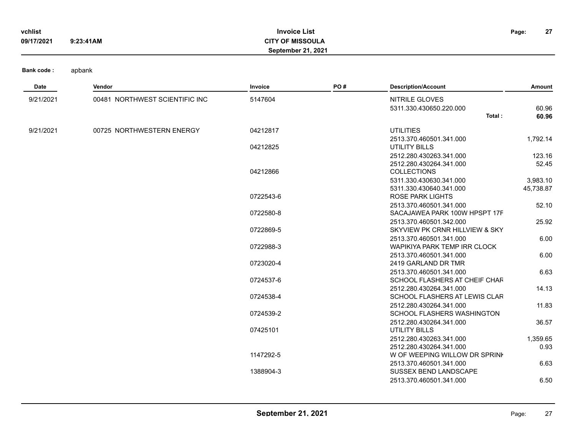| vchlist    |           | <b>Invoice List</b>       | Page: | 27 |
|------------|-----------|---------------------------|-------|----|
| 09/17/2021 | 9:23:41AM | <b>CITY OF MISSOULA</b>   |       |    |
|            |           | <b>September 21, 2021</b> |       |    |

| ode : |  | apbank |
|-------|--|--------|
|-------|--|--------|

| Date      | Vendor                         | Invoice   | PO# | <b>Description/Account</b>        | Amount    |
|-----------|--------------------------------|-----------|-----|-----------------------------------|-----------|
| 9/21/2021 | 00481 NORTHWEST SCIENTIFIC INC | 5147604   |     | NITRILE GLOVES                    |           |
|           |                                |           |     | 5311.330.430650.220.000           | 60.96     |
|           |                                |           |     | Total:                            | 60.96     |
| 9/21/2021 | 00725 NORTHWESTERN ENERGY      | 04212817  |     | <b>UTILITIES</b>                  |           |
|           |                                |           |     | 2513.370.460501.341.000           | 1,792.14  |
|           |                                | 04212825  |     | <b>UTILITY BILLS</b>              |           |
|           |                                |           |     | 2512.280.430263.341.000           | 123.16    |
|           |                                |           |     | 2512.280.430264.341.000           | 52.45     |
|           |                                | 04212866  |     | <b>COLLECTIONS</b>                |           |
|           |                                |           |     | 5311.330.430630.341.000           | 3,983.10  |
|           |                                |           |     | 5311.330.430640.341.000           | 45,738.87 |
|           |                                | 0722543-6 |     | <b>ROSE PARK LIGHTS</b>           |           |
|           |                                |           |     | 2513.370.460501.341.000           | 52.10     |
|           |                                | 0722580-8 |     | SACAJAWEA PARK 100W HPSPT 17F     |           |
|           |                                |           |     | 2513.370.460501.342.000           | 25.92     |
|           |                                | 0722869-5 |     | SKYVIEW PK CRNR HILLVIEW & SKY    |           |
|           |                                |           |     | 2513.370.460501.341.000           | 6.00      |
|           |                                | 0722988-3 |     | WAPIKIYA PARK TEMP IRR CLOCK      |           |
|           |                                |           |     | 2513.370.460501.341.000           | 6.00      |
|           |                                | 0723020-4 |     | 2419 GARLAND DR TMR               |           |
|           |                                |           |     | 2513.370.460501.341.000           | 6.63      |
|           |                                | 0724537-6 |     | SCHOOL FLASHERS AT CHEIF CHAF     |           |
|           |                                |           |     | 2512.280.430264.341.000           | 14.13     |
|           |                                | 0724538-4 |     | SCHOOL FLASHERS AT LEWIS CLAR     |           |
|           |                                |           |     | 2512.280.430264.341.000           | 11.83     |
|           |                                | 0724539-2 |     | <b>SCHOOL FLASHERS WASHINGTON</b> |           |
|           |                                |           |     | 2512.280.430264.341.000           | 36.57     |
|           |                                | 07425101  |     | <b>UTILITY BILLS</b>              |           |
|           |                                |           |     | 2512.280.430263.341.000           | 1,359.65  |
|           |                                |           |     | 2512.280.430264.341.000           | 0.93      |
|           |                                | 1147292-5 |     | W OF WEEPING WILLOW DR SPRINK     |           |
|           |                                |           |     | 2513.370.460501.341.000           | 6.63      |
|           |                                | 1388904-3 |     | SUSSEX BEND LANDSCAPE             |           |
|           |                                |           |     | 2513.370.460501.341.000           | 6.50      |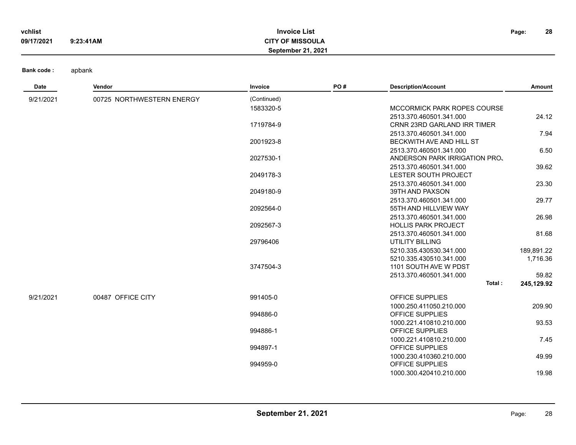| vchlist    |           | <b>Invoice List</b>       | Page: | 28 |
|------------|-----------|---------------------------|-------|----|
| 09/17/2021 | 9:23:41AM | <b>CITY OF MISSOULA</b>   |       |    |
|            |           | <b>September 21, 2021</b> |       |    |

**Bank code** 

| apbank<br>de : |  |
|----------------|--|
|----------------|--|

| Date      | Vendor                    | Invoice     | PO# | <b>Description/Account</b>         | Amount     |
|-----------|---------------------------|-------------|-----|------------------------------------|------------|
| 9/21/2021 | 00725 NORTHWESTERN ENERGY | (Continued) |     |                                    |            |
|           |                           | 1583320-5   |     | MCCORMICK PARK ROPES COURSE        |            |
|           |                           |             |     | 2513.370.460501.341.000            | 24.12      |
|           |                           | 1719784-9   |     | <b>CRNR 23RD GARLAND IRR TIMER</b> |            |
|           |                           |             |     | 2513.370.460501.341.000            | 7.94       |
|           |                           | 2001923-8   |     | BECKWITH AVE AND HILL ST           |            |
|           |                           |             |     | 2513.370.460501.341.000            | 6.50       |
|           |                           | 2027530-1   |     | ANDERSON PARK IRRIGATION PRO.      |            |
|           |                           |             |     | 2513.370.460501.341.000            | 39.62      |
|           |                           | 2049178-3   |     | LESTER SOUTH PROJECT               |            |
|           |                           |             |     | 2513.370.460501.341.000            | 23.30      |
|           |                           | 2049180-9   |     | 39TH AND PAXSON                    |            |
|           |                           |             |     | 2513.370.460501.341.000            | 29.77      |
|           |                           | 2092564-0   |     | 55TH AND HILLVIEW WAY              |            |
|           |                           |             |     | 2513.370.460501.341.000            | 26.98      |
|           |                           | 2092567-3   |     | <b>HOLLIS PARK PROJECT</b>         |            |
|           |                           |             |     | 2513.370.460501.341.000            | 81.68      |
|           |                           | 29796406    |     | <b>UTILITY BILLING</b>             |            |
|           |                           |             |     | 5210.335.430530.341.000            | 189,891.22 |
|           |                           |             |     | 5210.335.430510.341.000            | 1,716.36   |
|           |                           | 3747504-3   |     | 1101 SOUTH AVE W PDST              |            |
|           |                           |             |     | 2513.370.460501.341.000<br>Total:  | 59.82      |
|           |                           |             |     |                                    | 245,129.92 |
| 9/21/2021 | 00487 OFFICE CITY         | 991405-0    |     | OFFICE SUPPLIES                    |            |
|           |                           |             |     | 1000.250.411050.210.000            | 209.90     |
|           |                           | 994886-0    |     | OFFICE SUPPLIES                    |            |
|           |                           |             |     | 1000.221.410810.210.000            | 93.53      |
|           |                           | 994886-1    |     | OFFICE SUPPLIES                    |            |
|           |                           |             |     | 1000.221.410810.210.000            | 7.45       |
|           |                           | 994897-1    |     | OFFICE SUPPLIES                    |            |
|           |                           |             |     | 1000.230.410360.210.000            | 49.99      |
|           |                           | 994959-0    |     | OFFICE SUPPLIES                    |            |
|           |                           |             |     | 1000.300.420410.210.000            | 19.98      |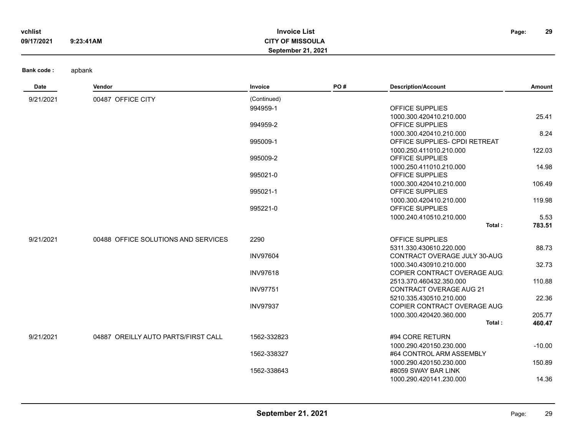| vchlist    |           | <b>Invoice List</b>       | Page: | 29 |
|------------|-----------|---------------------------|-------|----|
| 09/17/2021 | 9:23:41AM | <b>CITY OF MISSOULA</b>   |       |    |
|            |           | <b>September 21, 2021</b> |       |    |
|            |           |                           |       |    |

| Date      | Vendor                              | Invoice         | PO# | <b>Description/Account</b>     | Amount   |
|-----------|-------------------------------------|-----------------|-----|--------------------------------|----------|
| 9/21/2021 | 00487 OFFICE CITY                   | (Continued)     |     |                                |          |
|           |                                     | 994959-1        |     | OFFICE SUPPLIES                |          |
|           |                                     |                 |     | 1000.300.420410.210.000        | 25.41    |
|           |                                     | 994959-2        |     | OFFICE SUPPLIES                |          |
|           |                                     |                 |     | 1000.300.420410.210.000        | 8.24     |
|           |                                     | 995009-1        |     | OFFICE SUPPLIES- CPDI RETREAT  |          |
|           |                                     |                 |     | 1000.250.411010.210.000        | 122.03   |
|           |                                     | 995009-2        |     | OFFICE SUPPLIES                |          |
|           |                                     |                 |     | 1000.250.411010.210.000        | 14.98    |
|           |                                     | 995021-0        |     | <b>OFFICE SUPPLIES</b>         |          |
|           |                                     |                 |     | 1000.300.420410.210.000        | 106.49   |
|           |                                     | 995021-1        |     | <b>OFFICE SUPPLIES</b>         |          |
|           |                                     |                 |     | 1000.300.420410.210.000        | 119.98   |
|           |                                     | 995221-0        |     | <b>OFFICE SUPPLIES</b>         |          |
|           |                                     |                 |     | 1000.240.410510.210.000        | 5.53     |
|           |                                     |                 |     | Total:                         | 783.51   |
| 9/21/2021 | 00488 OFFICE SOLUTIONS AND SERVICES | 2290            |     | <b>OFFICE SUPPLIES</b>         |          |
|           |                                     |                 |     | 5311.330.430610.220.000        | 88.73    |
|           |                                     | <b>INV97604</b> |     | CONTRACT OVERAGE JULY 30-AUG   |          |
|           |                                     |                 |     | 1000.340.430910.210.000        | 32.73    |
|           |                                     | <b>INV97618</b> |     | COPIER CONTRACT OVERAGE AUG:   |          |
|           |                                     |                 |     | 2513.370.460432.350.000        | 110.88   |
|           |                                     | <b>INV97751</b> |     | <b>CONTRACT OVERAGE AUG 21</b> |          |
|           |                                     |                 |     | 5210.335.430510.210.000        | 22.36    |
|           |                                     | <b>INV97937</b> |     | COPIER CONTRACT OVERAGE AUG    |          |
|           |                                     |                 |     | 1000.300.420420.360.000        | 205.77   |
|           |                                     |                 |     | Total:                         | 460.47   |
| 9/21/2021 | 04887 OREILLY AUTO PARTS/FIRST CALL | 1562-332823     |     | #94 CORE RETURN                |          |
|           |                                     |                 |     | 1000.290.420150.230.000        | $-10.00$ |
|           |                                     | 1562-338327     |     | #64 CONTROL ARM ASSEMBLY       |          |
|           |                                     |                 |     | 1000.290.420150.230.000        | 150.89   |
|           |                                     | 1562-338643     |     | #8059 SWAY BAR LINK            |          |
|           |                                     |                 |     | 1000.290.420141.230.000        | 14.36    |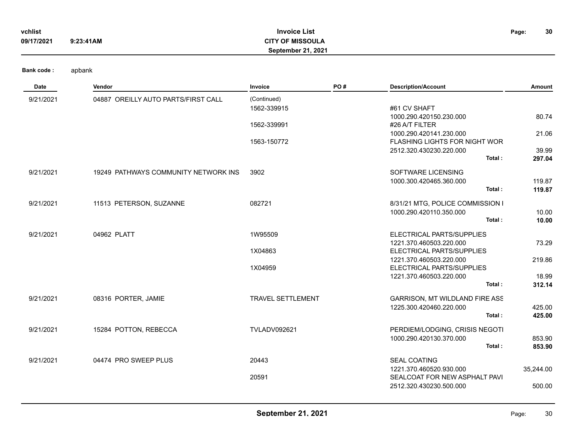| vchlist<br>09/17/2021            | <b>Invoice List</b><br><b>CITY OF MISSOULA</b><br>9:23:41AM<br><b>September 21, 2021</b> |                |     |                            |  | 30     |
|----------------------------------|------------------------------------------------------------------------------------------|----------------|-----|----------------------------|--|--------|
| <b>Bank code:</b><br><b>Date</b> | apbank<br>Vendor                                                                         | <b>Invoice</b> | PO# | <b>Description/Account</b> |  | Amount |

| Date      | Vendor                               | <b>Invoice</b>           | PO# | <b>Description/Account</b>                               | Amount           |
|-----------|--------------------------------------|--------------------------|-----|----------------------------------------------------------|------------------|
| 9/21/2021 | 04887 OREILLY AUTO PARTS/FIRST CALL  | (Continued)              |     |                                                          |                  |
|           |                                      | 1562-339915              |     | #61 CV SHAFT                                             |                  |
|           |                                      |                          |     | 1000.290.420150.230.000                                  | 80.74            |
|           |                                      | 1562-339991              |     | #26 A/T FILTER<br>1000.290.420141.230.000                |                  |
|           |                                      | 1563-150772              |     | FLASHING LIGHTS FOR NIGHT WOR                            | 21.06            |
|           |                                      |                          |     | 2512.320.430230.220.000                                  | 39.99            |
|           |                                      |                          |     | Total:                                                   | 297.04           |
| 9/21/2021 | 19249 PATHWAYS COMMUNITY NETWORK INS | 3902                     |     | SOFTWARE LICENSING                                       |                  |
|           |                                      |                          |     | 1000.300.420465.360.000                                  | 119.87           |
|           |                                      |                          |     | Total:                                                   | 119.87           |
|           |                                      |                          |     |                                                          |                  |
| 9/21/2021 | 11513 PETERSON, SUZANNE              | 082721                   |     | 8/31/21 MTG, POLICE COMMISSION I                         |                  |
|           |                                      |                          |     | 1000.290.420110.350.000<br>Total:                        | 10.00<br>10.00   |
|           |                                      |                          |     |                                                          |                  |
| 9/21/2021 | 04962 PLATT                          | 1W95509                  |     | ELECTRICAL PARTS/SUPPLIES                                |                  |
|           |                                      |                          |     | 1221.370.460503.220.000                                  | 73.29            |
|           |                                      | 1X04863                  |     | ELECTRICAL PARTS/SUPPLIES                                |                  |
|           |                                      | 1X04959                  |     | 1221.370.460503.220.000<br>ELECTRICAL PARTS/SUPPLIES     | 219.86           |
|           |                                      |                          |     | 1221.370.460503.220.000                                  | 18.99            |
|           |                                      |                          |     | Total:                                                   | 312.14           |
| 9/21/2021 | 08316 PORTER, JAMIE                  | <b>TRAVEL SETTLEMENT</b> |     | <b>GARRISON, MT WILDLAND FIRE ASS</b>                    |                  |
|           |                                      |                          |     | 1225.300.420460.220.000                                  | 425.00           |
|           |                                      |                          |     | Total:                                                   | 425.00           |
|           |                                      |                          |     |                                                          |                  |
| 9/21/2021 | 15284 POTTON, REBECCA                | <b>TVLADV092621</b>      |     | PERDIEM/LODGING, CRISIS NEGOTI                           |                  |
|           |                                      |                          |     | 1000.290.420130.370.000<br>Total:                        | 853.90<br>853.90 |
|           |                                      |                          |     |                                                          |                  |
| 9/21/2021 | 04474 PRO SWEEP PLUS                 | 20443                    |     | <b>SEAL COATING</b>                                      |                  |
|           |                                      |                          |     | 1221.370.460520.930.000                                  | 35,244.00        |
|           |                                      | 20591                    |     | SEALCOAT FOR NEW ASPHALT PAVI<br>2512.320.430230.500.000 | 500.00           |
|           |                                      |                          |     |                                                          |                  |
|           |                                      |                          |     |                                                          |                  |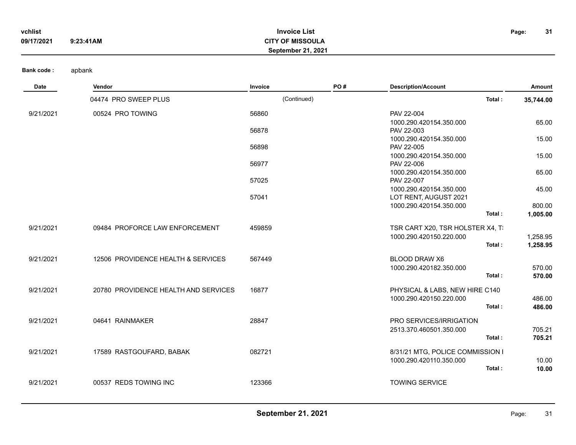| vchlist    |           | <b>Invoice List</b>       | Page: | -31 |
|------------|-----------|---------------------------|-------|-----|
| 09/17/2021 | 9:23:41AM | <b>CITY OF MISSOULA</b>   |       |     |
|            |           | <b>September 21, 2021</b> |       |     |

| <b>Date</b> | Vendor                               | Invoice     | PO# | <b>Description/Account</b>        | Amount    |
|-------------|--------------------------------------|-------------|-----|-----------------------------------|-----------|
|             | 04474 PRO SWEEP PLUS                 | (Continued) |     | Total:                            | 35,744.00 |
| 9/21/2021   | 00524 PRO TOWING                     | 56860       |     | PAV 22-004                        |           |
|             |                                      |             |     | 1000.290.420154.350.000           | 65.00     |
|             |                                      | 56878       |     | PAV 22-003                        |           |
|             |                                      |             |     | 1000.290.420154.350.000           | 15.00     |
|             |                                      | 56898       |     | PAV 22-005                        |           |
|             |                                      |             |     | 1000.290.420154.350.000           | 15.00     |
|             |                                      | 56977       |     | PAV 22-006                        |           |
|             |                                      |             |     | 1000.290.420154.350.000           | 65.00     |
|             |                                      | 57025       |     | PAV 22-007                        |           |
|             |                                      |             |     | 1000.290.420154.350.000           | 45.00     |
|             |                                      | 57041       |     | LOT RENT, AUGUST 2021             |           |
|             |                                      |             |     | 1000.290.420154.350.000<br>Total: | 800.00    |
|             |                                      |             |     |                                   | 1,005.00  |
| 9/21/2021   | 09484 PROFORCE LAW ENFORCEMENT       | 459859      |     | TSR CART X20, TSR HOLSTER X4, T   |           |
|             |                                      |             |     | 1000.290.420150.220.000           | 1,258.95  |
|             |                                      |             |     | Total:                            | 1,258.95  |
| 9/21/2021   | 12506 PROVIDENCE HEALTH & SERVICES   | 567449      |     | <b>BLOOD DRAW X6</b>              |           |
|             |                                      |             |     | 1000.290.420182.350.000           | 570.00    |
|             |                                      |             |     | Total:                            | 570.00    |
| 9/21/2021   | 20780 PROVIDENCE HEALTH AND SERVICES | 16877       |     | PHYSICAL & LABS, NEW HIRE C140    |           |
|             |                                      |             |     | 1000.290.420150.220.000           | 486.00    |
|             |                                      |             |     | Total:                            | 486.00    |
| 9/21/2021   | 04641 RAINMAKER                      | 28847       |     | <b>PRO SERVICES/IRRIGATION</b>    |           |
|             |                                      |             |     | 2513.370.460501.350.000           | 705.21    |
|             |                                      |             |     | Total:                            | 705.21    |
| 9/21/2021   | 17589 RASTGOUFARD, BABAK             | 082721      |     | 8/31/21 MTG, POLICE COMMISSION I  |           |
|             |                                      |             |     | 1000.290.420110.350.000           | 10.00     |
|             |                                      |             |     | Total:                            | 10.00     |

9/21/2021 00537 REDS TOWING INC 123366 123366 TOWING SERVICE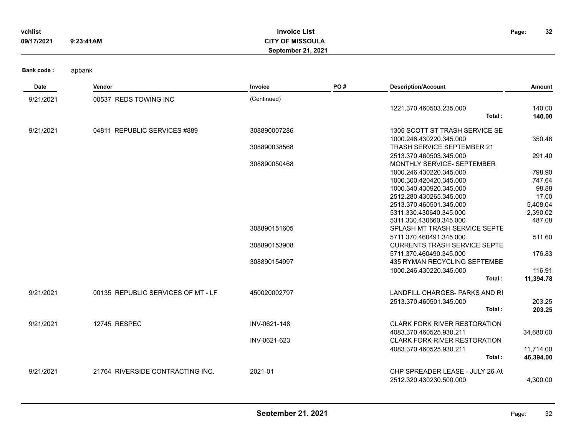| vchlist<br>09/17/2021 | 9:23:41AM                          | <b>Invoice List</b><br><b>CITY OF MISSOULA</b><br>September 21, 2021 |     |                                                    | 32<br>Page:       |
|-----------------------|------------------------------------|----------------------------------------------------------------------|-----|----------------------------------------------------|-------------------|
| <b>Bank code:</b>     | apbank                             |                                                                      |     |                                                    |                   |
| Date                  | Vendor                             | Invoice                                                              | PO# | <b>Description/Account</b>                         | Amount            |
| 9/21/2021             | 00537 REDS TOWING INC              | (Continued)                                                          |     |                                                    |                   |
|                       |                                    |                                                                      |     | 1221.370.460503.235.000                            | 140.00            |
|                       |                                    |                                                                      |     | Total:                                             | 140.00            |
| 9/21/2021             | 04811 REPUBLIC SERVICES #889       | 308890007286                                                         |     | 1305 SCOTT ST TRASH SERVICE SE                     |                   |
|                       |                                    |                                                                      |     | 1000.246.430220.345.000                            | 350.48            |
|                       |                                    | 308890038568                                                         |     | TRASH SERVICE SEPTEMBER 21                         |                   |
|                       |                                    |                                                                      |     | 2513.370.460503.345.000                            | 291.40            |
|                       |                                    | 308890050468                                                         |     | MONTHLY SERVICE- SEPTEMBER                         |                   |
|                       |                                    |                                                                      |     | 1000.246.430220.345.000                            | 798.90            |
|                       |                                    |                                                                      |     | 1000.300.420420.345.000                            | 747.64            |
|                       |                                    |                                                                      |     | 1000.340.430920.345.000                            | 98.88             |
|                       |                                    |                                                                      |     | 2512.280.430265.345.000<br>2513.370.460501.345.000 | 17.00<br>5,408.04 |
|                       |                                    |                                                                      |     | 5311.330.430640.345.000                            | 2,390.02          |
|                       |                                    |                                                                      |     | 5311.330.430660.345.000                            | 487.08            |
|                       |                                    | 308890151605                                                         |     | SPLASH MT TRASH SERVICE SEPTE                      |                   |
|                       |                                    |                                                                      |     | 5711.370.460491.345.000                            | 511.60            |
|                       |                                    | 308890153908                                                         |     | <b>CURRENTS TRASH SERVICE SEPTE</b>                |                   |
|                       |                                    |                                                                      |     | 5711.370.460490.345.000                            | 176.83            |
|                       |                                    | 308890154997                                                         |     | 435 RYMAN RECYCLING SEPTEMBE                       |                   |
|                       |                                    |                                                                      |     | 1000.246.430220.345.000                            | 116.91            |
|                       |                                    |                                                                      |     | Total:                                             | 11,394.78         |
| 9/21/2021             | 00135 REPUBLIC SERVICES OF MT - LF | 450020002797                                                         |     | LANDFILL CHARGES- PARKS AND RI                     |                   |
|                       |                                    |                                                                      |     | 2513.370.460501.345.000                            | 203.25            |
|                       |                                    |                                                                      |     | Total:                                             | 203.25            |
| 9/21/2021             | 12745 RESPEC                       | INV-0621-148                                                         |     | <b>CLARK FORK RIVER RESTORATION</b>                |                   |
|                       |                                    |                                                                      |     | 4083.370.460525.930.211                            | 34,680.00         |
|                       |                                    | INV-0621-623                                                         |     | <b>CLARK FORK RIVER RESTORATION</b>                |                   |
|                       |                                    |                                                                      |     | 4083.370.460525.930.211                            | 11,714.00         |
|                       |                                    |                                                                      |     | Total:                                             | 46,394.00         |
| 9/21/2021             | 21764 RIVERSIDE CONTRACTING INC.   | 2021-01                                                              |     | CHP SPREADER LEASE - JULY 26-AL                    |                   |
|                       |                                    |                                                                      |     | 2512.320.430230.500.000                            | 4,300.00          |
|                       |                                    |                                                                      |     |                                                    |                   |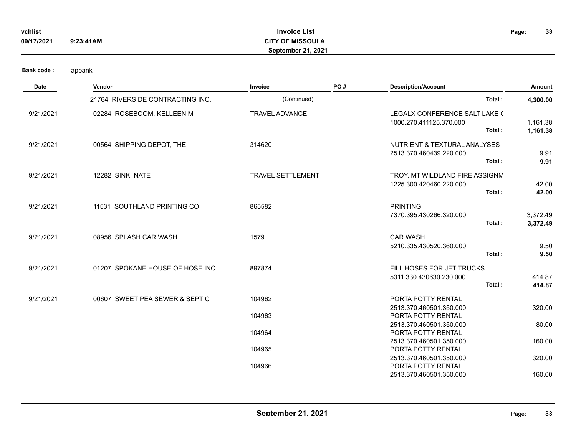| vchlist    |           | <b>Invoice List</b>       | Page: | 33 |
|------------|-----------|---------------------------|-------|----|
| 09/17/2021 | 9:23:41AM | <b>CITY OF MISSOULA</b>   |       |    |
|            |           | <b>September 21, 2021</b> |       |    |

| <b>Date</b> | Vendor                           | Invoice                  | PO# | <b>Description/Account</b>                                               | Amount               |
|-------------|----------------------------------|--------------------------|-----|--------------------------------------------------------------------------|----------------------|
|             | 21764 RIVERSIDE CONTRACTING INC. | (Continued)              |     | Total:                                                                   | 4,300.00             |
| 9/21/2021   | 02284 ROSEBOOM, KELLEEN M        | <b>TRAVEL ADVANCE</b>    |     | LEGALX CONFERENCE SALT LAKE (<br>1000.270.411125.370.000<br>Total:       | 1,161.38<br>1,161.38 |
| 9/21/2021   | 00564 SHIPPING DEPOT, THE        | 314620                   |     | NUTRIENT & TEXTURAL ANALYSES<br>2513.370.460439.220.000<br>Total:        | 9.91<br>9.91         |
| 9/21/2021   | 12282 SINK, NATE                 | <b>TRAVEL SETTLEMENT</b> |     | TROY, MT WILDLAND FIRE ASSIGNM<br>1225.300.420460.220.000<br>Total:      | 42.00<br>42.00       |
| 9/21/2021   | 11531 SOUTHLAND PRINTING CO      | 865582                   |     | <b>PRINTING</b><br>7370.395.430266.320.000<br>Total:                     | 3,372.49<br>3,372.49 |
| 9/21/2021   | 08956 SPLASH CAR WASH            | 1579                     |     | <b>CAR WASH</b><br>5210.335.430520.360.000<br>Total:                     | 9.50<br>9.50         |
| 9/21/2021   | 01207 SPOKANE HOUSE OF HOSE INC  | 897874                   |     | FILL HOSES FOR JET TRUCKS<br>5311.330.430630.230.000<br>Total:           | 414.87<br>414.87     |
| 9/21/2021   | 00607 SWEET PEA SEWER & SEPTIC   | 104962                   |     | PORTA POTTY RENTAL<br>2513.370.460501.350.000                            | 320.00               |
|             |                                  | 104963<br>104964         |     | PORTA POTTY RENTAL<br>2513.370.460501.350.000<br>PORTA POTTY RENTAL      | 80.00                |
|             |                                  | 104965                   |     | 2513.370.460501.350.000<br>PORTA POTTY RENTAL                            | 160.00               |
|             |                                  | 104966                   |     | 2513.370.460501.350.000<br>PORTA POTTY RENTAL<br>2513.370.460501.350.000 | 320.00<br>160.00     |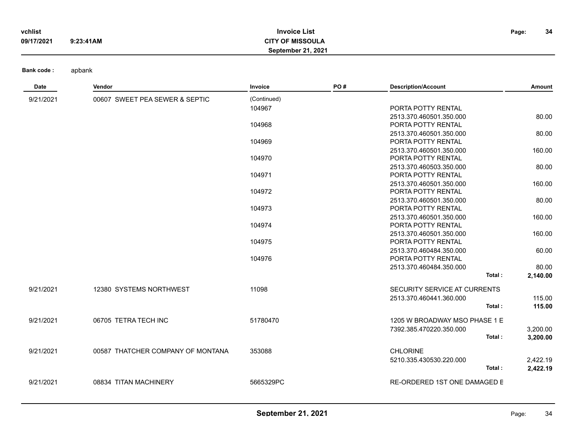| vchlist    |           | <b>Invoice List</b>       | Page: | 34 |
|------------|-----------|---------------------------|-------|----|
| 09/17/2021 | 9:23:41AM | <b>CITY OF MISSOULA</b>   |       |    |
|            |           | <b>September 21, 2021</b> |       |    |

| Date      | Vendor                            | Invoice     | PO# | <b>Description/Account</b>                    | Amount   |
|-----------|-----------------------------------|-------------|-----|-----------------------------------------------|----------|
| 9/21/2021 | 00607 SWEET PEA SEWER & SEPTIC    | (Continued) |     |                                               |          |
|           |                                   | 104967      |     | PORTA POTTY RENTAL                            |          |
|           |                                   |             |     | 2513.370.460501.350.000                       | 80.00    |
|           |                                   | 104968      |     | PORTA POTTY RENTAL                            |          |
|           |                                   |             |     | 2513.370.460501.350.000                       | 80.00    |
|           |                                   | 104969      |     | PORTA POTTY RENTAL                            |          |
|           |                                   |             |     | 2513.370.460501.350.000                       | 160.00   |
|           |                                   | 104970      |     | PORTA POTTY RENTAL                            |          |
|           |                                   |             |     | 2513.370.460503.350.000                       | 80.00    |
|           |                                   | 104971      |     | PORTA POTTY RENTAL                            |          |
|           |                                   |             |     | 2513.370.460501.350.000                       | 160.00   |
|           |                                   | 104972      |     | PORTA POTTY RENTAL                            |          |
|           |                                   |             |     | 2513.370.460501.350.000                       | 80.00    |
|           |                                   | 104973      |     | PORTA POTTY RENTAL                            |          |
|           |                                   | 104974      |     | 2513.370.460501.350.000<br>PORTA POTTY RENTAL | 160.00   |
|           |                                   |             |     | 2513.370.460501.350.000                       | 160.00   |
|           |                                   | 104975      |     | PORTA POTTY RENTAL                            |          |
|           |                                   |             |     | 2513.370.460484.350.000                       | 60.00    |
|           |                                   | 104976      |     | PORTA POTTY RENTAL                            |          |
|           |                                   |             |     | 2513.370.460484.350.000                       | 80.00    |
|           |                                   |             |     | Total:                                        | 2,140.00 |
| 9/21/2021 | 12380 SYSTEMS NORTHWEST           | 11098       |     | SECURITY SERVICE AT CURRENTS                  |          |
|           |                                   |             |     | 2513.370.460441.360.000                       | 115.00   |
|           |                                   |             |     | Total:                                        | 115.00   |
|           |                                   |             |     |                                               |          |
| 9/21/2021 | 06705 TETRA TECH INC              | 51780470    |     | 1205 W BROADWAY MSO PHASE 1 E                 |          |
|           |                                   |             |     | 7392.385.470220.350.000                       | 3,200.00 |
|           |                                   |             |     | Total:                                        | 3,200.00 |
| 9/21/2021 | 00587 THATCHER COMPANY OF MONTANA | 353088      |     | <b>CHLORINE</b>                               |          |
|           |                                   |             |     | 5210.335.430530.220.000                       | 2,422.19 |
|           |                                   |             |     | Total:                                        | 2,422.19 |
|           |                                   |             |     |                                               |          |
| 9/21/2021 | 08834 TITAN MACHINERY             | 5665329PC   |     | <b>RE-ORDERED 1ST ONE DAMAGED E</b>           |          |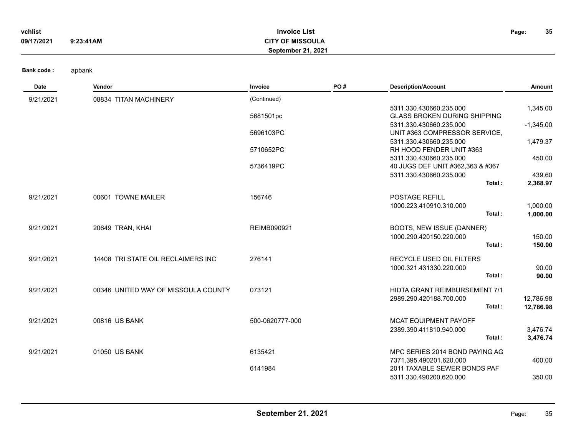| vchlist    |           | <b>Invoice List</b>       | Page: | 35 |
|------------|-----------|---------------------------|-------|----|
| 09/17/2021 | 9:23:41AM | <b>CITY OF MISSOULA</b>   |       |    |
|            |           | <b>September 21, 2021</b> |       |    |

| Date      | Vendor                              | Invoice            | PO# | <b>Description/Account</b>           | Amount      |
|-----------|-------------------------------------|--------------------|-----|--------------------------------------|-------------|
| 9/21/2021 | 08834 TITAN MACHINERY               | (Continued)        |     |                                      |             |
|           |                                     |                    |     | 5311.330.430660.235.000              | 1,345.00    |
|           |                                     | 5681501pc          |     | <b>GLASS BROKEN DURING SHIPPING</b>  |             |
|           |                                     |                    |     | 5311.330.430660.235.000              | $-1,345.00$ |
|           |                                     | 5696103PC          |     | UNIT #363 COMPRESSOR SERVICE,        |             |
|           |                                     |                    |     | 5311.330.430660.235.000              | 1,479.37    |
|           |                                     | 5710652PC          |     | RH HOOD FENDER UNIT #363             |             |
|           |                                     |                    |     | 5311.330.430660.235.000              | 450.00      |
|           |                                     | 5736419PC          |     | 40 JUGS DEF UNIT #362,363 & #367     |             |
|           |                                     |                    |     | 5311.330.430660.235.000<br>Total:    | 439.60      |
|           |                                     |                    |     |                                      | 2,368.97    |
| 9/21/2021 | 00601 TOWNE MAILER                  | 156746             |     | <b>POSTAGE REFILL</b>                |             |
|           |                                     |                    |     | 1000.223.410910.310.000              | 1,000.00    |
|           |                                     |                    |     | Total:                               | 1,000.00    |
| 9/21/2021 | 20649 TRAN, KHAI                    | <b>REIMB090921</b> |     | BOOTS, NEW ISSUE (DANNER)            |             |
|           |                                     |                    |     | 1000.290.420150.220.000              | 150.00      |
|           |                                     |                    |     | Total:                               | 150.00      |
| 9/21/2021 | 14408 TRI STATE OIL RECLAIMERS INC  | 276141             |     | <b>RECYCLE USED OIL FILTERS</b>      |             |
|           |                                     |                    |     | 1000.321.431330.220.000              | 90.00       |
|           |                                     |                    |     | Total:                               | 90.00       |
| 9/21/2021 | 00346 UNITED WAY OF MISSOULA COUNTY | 073121             |     | <b>HIDTA GRANT REIMBURSEMENT 7/1</b> |             |
|           |                                     |                    |     | 2989.290.420188.700.000              | 12,786.98   |
|           |                                     |                    |     | Total:                               | 12,786.98   |
| 9/21/2021 | 00816 US BANK                       | 500-0620777-000    |     | MCAT EQUIPMENT PAYOFF                |             |
|           |                                     |                    |     | 2389.390.411810.940.000              | 3,476.74    |
|           |                                     |                    |     | Total:                               | 3,476.74    |
| 9/21/2021 | 01050 US BANK                       | 6135421            |     | MPC SERIES 2014 BOND PAYING AG       |             |
|           |                                     |                    |     | 7371.395.490201.620.000              | 400.00      |
|           |                                     | 6141984            |     | 2011 TAXABLE SEWER BONDS PAF         |             |
|           |                                     |                    |     | 5311.330.490200.620.000              | 350.00      |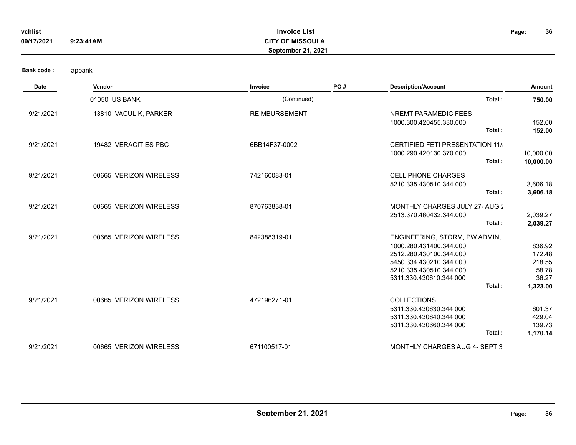| vchlist    |           | <b>Invoice List</b>       | Page: | 36 |
|------------|-----------|---------------------------|-------|----|
| 09/17/2021 | 9:23:41AM | <b>CITY OF MISSOULA</b>   |       |    |
|            |           | <b>September 21, 2021</b> |       |    |

| <b>Date</b> | Vendor                 | Invoice              | PO# | <b>Description/Account</b>                                                                                                                                                     | Amount                                                   |
|-------------|------------------------|----------------------|-----|--------------------------------------------------------------------------------------------------------------------------------------------------------------------------------|----------------------------------------------------------|
|             | 01050 US BANK          | (Continued)          |     | Total:                                                                                                                                                                         | 750.00                                                   |
| 9/21/2021   | 13810 VACULIK, PARKER  | <b>REIMBURSEMENT</b> |     | NREMT PARAMEDIC FEES<br>1000.300.420455.330.000<br>Total:                                                                                                                      | 152.00<br>152.00                                         |
| 9/21/2021   | 19482 VERACITIES PBC   | 6BB14F37-0002        |     | <b>CERTIFIED FETI PRESENTATION 11/:</b><br>1000.290.420130.370.000<br>Total:                                                                                                   | 10,000.00<br>10,000.00                                   |
| 9/21/2021   | 00665 VERIZON WIRELESS | 742160083-01         |     | <b>CELL PHONE CHARGES</b><br>5210.335.430510.344.000<br>Total:                                                                                                                 | 3,606.18<br>3,606.18                                     |
| 9/21/2021   | 00665 VERIZON WIRELESS | 870763838-01         |     | MONTHLY CHARGES JULY 27-AUG 2<br>2513.370.460432.344.000<br>Total:                                                                                                             | 2,039.27<br>2,039.27                                     |
| 9/21/2021   | 00665 VERIZON WIRELESS | 842388319-01         |     | ENGINEERING, STORM, PW ADMIN,<br>1000.280.431400.344.000<br>2512.280.430100.344.000<br>5450.334.430210.344.000<br>5210.335.430510.344.000<br>5311.330.430610.344.000<br>Total: | 836.92<br>172.48<br>218.55<br>58.78<br>36.27<br>1,323.00 |
| 9/21/2021   | 00665 VERIZON WIRELESS | 472196271-01         |     | <b>COLLECTIONS</b><br>5311.330.430630.344.000<br>5311.330.430640.344.000<br>5311.330.430660.344.000<br>Total:                                                                  | 601.37<br>429.04<br>139.73<br>1,170.14                   |
| 9/21/2021   | 00665 VERIZON WIRELESS | 671100517-01         |     | <b>MONTHLY CHARGES AUG 4- SEPT 3</b>                                                                                                                                           |                                                          |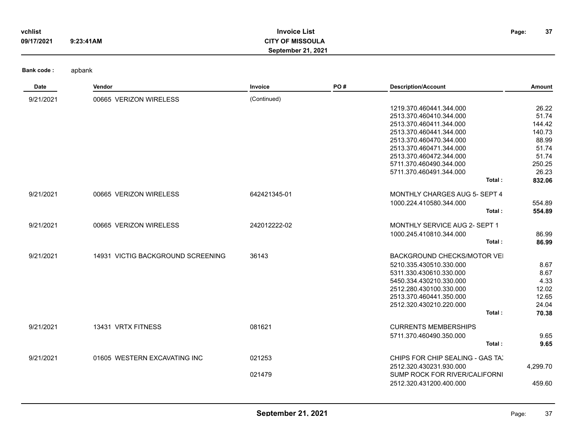| vchlist    |           | <b>Invoice List</b>       | Page: | 37 |
|------------|-----------|---------------------------|-------|----|
| 09/17/2021 | 9:23:41AM | CITY OF MISSOULA          |       |    |
|            |           | <b>September 21, 2021</b> |       |    |

| Date      | Vendor                            | Invoice      | PO# | <b>Description/Account</b>           | Amount   |
|-----------|-----------------------------------|--------------|-----|--------------------------------------|----------|
| 9/21/2021 | 00665 VERIZON WIRELESS            | (Continued)  |     |                                      |          |
|           |                                   |              |     | 1219.370.460441.344.000              | 26.22    |
|           |                                   |              |     | 2513.370.460410.344.000              | 51.74    |
|           |                                   |              |     | 2513.370.460411.344.000              | 144.42   |
|           |                                   |              |     | 2513.370.460441.344.000              | 140.73   |
|           |                                   |              |     | 2513.370.460470.344.000              | 88.99    |
|           |                                   |              |     | 2513.370.460471.344.000              | 51.74    |
|           |                                   |              |     | 2513.370.460472.344.000              | 51.74    |
|           |                                   |              |     | 5711.370.460490.344.000              | 250.25   |
|           |                                   |              |     | 5711.370.460491.344.000              | 26.23    |
|           |                                   |              |     | Total:                               | 832.06   |
| 9/21/2021 | 00665 VERIZON WIRELESS            | 642421345-01 |     | MONTHLY CHARGES AUG 5- SEPT 4        |          |
|           |                                   |              |     | 1000.224.410580.344.000              | 554.89   |
|           |                                   |              |     | Total:                               | 554.89   |
| 9/21/2021 | 00665 VERIZON WIRELESS            | 242012222-02 |     | <b>MONTHLY SERVICE AUG 2- SEPT 1</b> |          |
|           |                                   |              |     | 1000.245.410810.344.000              | 86.99    |
|           |                                   |              |     | Total:                               | 86.99    |
| 9/21/2021 | 14931 VICTIG BACKGROUND SCREENING | 36143        |     | BACKGROUND CHECKS/MOTOR VEI          |          |
|           |                                   |              |     | 5210.335.430510.330.000              | 8.67     |
|           |                                   |              |     | 5311.330.430610.330.000              | 8.67     |
|           |                                   |              |     | 5450.334.430210.330.000              | 4.33     |
|           |                                   |              |     | 2512.280.430100.330.000              | 12.02    |
|           |                                   |              |     | 2513.370.460441.350.000              | 12.65    |
|           |                                   |              |     | 2512.320.430210.220.000              | 24.04    |
|           |                                   |              |     | Total:                               | 70.38    |
| 9/21/2021 | 13431 VRTX FITNESS                | 081621       |     | <b>CURRENTS MEMBERSHIPS</b>          |          |
|           |                                   |              |     | 5711.370.460490.350.000              | 9.65     |
|           |                                   |              |     | Total:                               | 9.65     |
| 9/21/2021 | 01605 WESTERN EXCAVATING INC      | 021253       |     | CHIPS FOR CHIP SEALING - GAS TA'     |          |
|           |                                   |              |     | 2512.320.430231.930.000              | 4,299.70 |
|           |                                   | 021479       |     | SUMP ROCK FOR RIVER/CALIFORNI        |          |
|           |                                   |              |     | 2512.320.431200.400.000              | 459.60   |
|           |                                   |              |     |                                      |          |